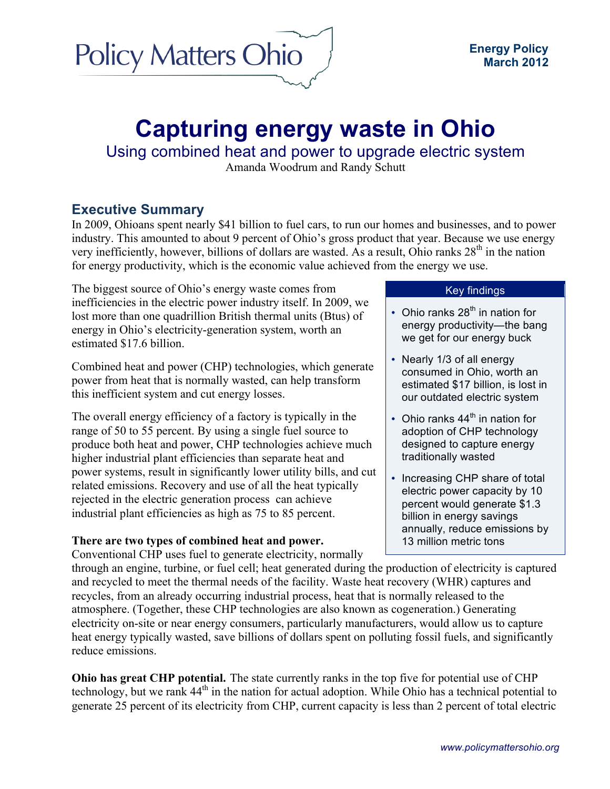

# **Capturing energy waste in Ohio**

Using combined heat and power to upgrade electric system

Amanda Woodrum and Randy Schutt

# **Executive Summary**

In 2009, Ohioans spent nearly \$41 billion to fuel cars, to run our homes and businesses, and to power industry. This amounted to about 9 percent of Ohio's gross product that year. Because we use energy very inefficiently, however, billions of dollars are wasted. As a result, Ohio ranks  $28<sup>th</sup>$  in the nation for energy productivity, which is the economic value achieved from the energy we use.

The biggest source of Ohio's energy waste comes from inefficiencies in the electric power industry itself. In 2009, we lost more than one quadrillion British thermal units (Btus) of energy in Ohio's electricity-generation system, worth an estimated \$17.6 billion.

Combined heat and power (CHP) technologies, which generate power from heat that is normally wasted, can help transform this inefficient system and cut energy losses.

The overall energy efficiency of a factory is typically in the range of 50 to 55 percent. By using a single fuel source to produce both heat and power, CHP technologies achieve much higher industrial plant efficiencies than separate heat and power systems, result in significantly lower utility bills, and cut related emissions. Recovery and use of all the heat typically rejected in the electric generation process can achieve industrial plant efficiencies as high as 75 to 85 percent.

### **There are two types of combined heat and power.**

Conventional CHP uses fuel to generate electricity, normally

#### Key findings

- Ohio ranks  $28<sup>th</sup>$  in nation for energy productivity—the bang we get for our energy buck
- Nearly 1/3 of all energy consumed in Ohio, worth an estimated \$17 billion, is lost in our outdated electric system
- Ohio ranks  $44<sup>th</sup>$  in nation for adoption of CHP technology designed to capture energy traditionally wasted
- Increasing CHP share of total electric power capacity by 10 percent would generate \$1.3 billion in energy savings annually, reduce emissions by 13 million metric tons

through an engine, turbine, or fuel cell; heat generated during the production of electricity is captured and recycled to meet the thermal needs of the facility. Waste heat recovery (WHR) captures and recycles, from an already occurring industrial process, heat that is normally released to the atmosphere. (Together, these CHP technologies are also known as cogeneration.) Generating electricity on-site or near energy consumers, particularly manufacturers, would allow us to capture heat energy typically wasted, save billions of dollars spent on polluting fossil fuels, and significantly reduce emissions.

**Ohio has great CHP potential.** The state currently ranks in the top five for potential use of CHP technology, but we rank 44<sup>th</sup> in the nation for actual adoption. While Ohio has a technical potential to generate 25 percent of its electricity from CHP, current capacity is less than 2 percent of total electric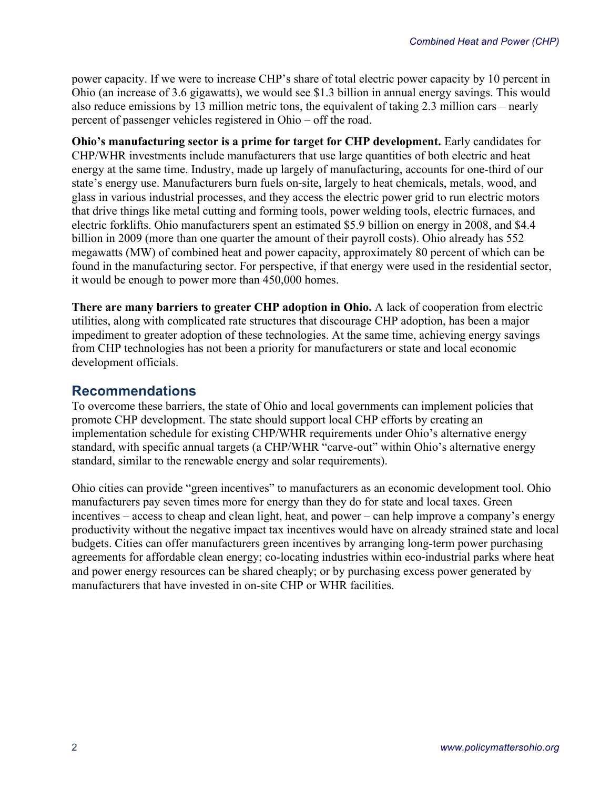power capacity. If we were to increase CHP's share of total electric power capacity by 10 percent in Ohio (an increase of 3.6 gigawatts), we would see \$1.3 billion in annual energy savings. This would also reduce emissions by 13 million metric tons, the equivalent of taking 2.3 million cars – nearly percent of passenger vehicles registered in Ohio – off the road.

**Ohio's manufacturing sector is a prime for target for CHP development.** Early candidates for CHP/WHR investments include manufacturers that use large quantities of both electric and heat energy at the same time. Industry, made up largely of manufacturing, accounts for one-third of our state's energy use. Manufacturers burn fuels on-site, largely to heat chemicals, metals, wood, and glass in various industrial processes, and they access the electric power grid to run electric motors that drive things like metal cutting and forming tools, power welding tools, electric furnaces, and electric forklifts. Ohio manufacturers spent an estimated \$5.9 billion on energy in 2008, and \$4.4 billion in 2009 (more than one quarter the amount of their payroll costs). Ohio already has 552 megawatts (MW) of combined heat and power capacity, approximately 80 percent of which can be found in the manufacturing sector. For perspective, if that energy were used in the residential sector, it would be enough to power more than 450,000 homes.

**There are many barriers to greater CHP adoption in Ohio.** A lack of cooperation from electric utilities, along with complicated rate structures that discourage CHP adoption, has been a major impediment to greater adoption of these technologies. At the same time, achieving energy savings from CHP technologies has not been a priority for manufacturers or state and local economic development officials.

# **Recommendations**

To overcome these barriers, the state of Ohio and local governments can implement policies that promote CHP development. The state should support local CHP efforts by creating an implementation schedule for existing CHP/WHR requirements under Ohio's alternative energy standard, with specific annual targets (a CHP/WHR "carve-out" within Ohio's alternative energy standard, similar to the renewable energy and solar requirements).

Ohio cities can provide "green incentives" to manufacturers as an economic development tool. Ohio manufacturers pay seven times more for energy than they do for state and local taxes. Green incentives – access to cheap and clean light, heat, and power – can help improve a company's energy productivity without the negative impact tax incentives would have on already strained state and local budgets. Cities can offer manufacturers green incentives by arranging long-term power purchasing agreements for affordable clean energy; co-locating industries within eco-industrial parks where heat and power energy resources can be shared cheaply; or by purchasing excess power generated by manufacturers that have invested in on-site CHP or WHR facilities.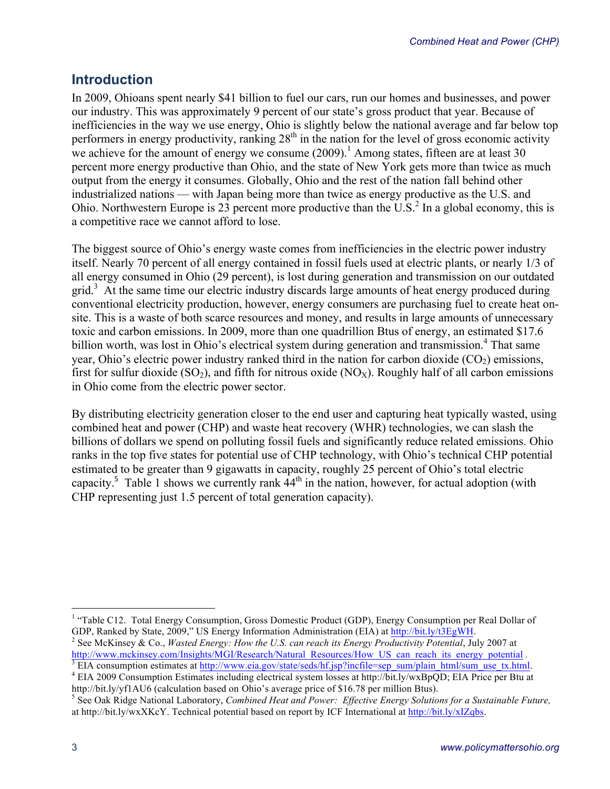# **Introduction**

In 2009, Ohioans spent nearly \$41 billion to fuel our cars, run our homes and businesses, and power our industry. This was approximately 9 percent of our state's gross product that year. Because of inefficiencies in the way we use energy, Ohio is slightly below the national average and far below top performers in energy productivity, ranking  $28<sup>th</sup>$  in the nation for the level of gross economic activity we achieve for the amount of energy we consume  $(2009)$ .<sup>1</sup> Among states, fifteen are at least 30 percent more energy productive than Ohio, and the state of New York gets more than twice as much output from the energy it consumes. Globally, Ohio and the rest of the nation fall behind other industrialized nations — with Japan being more than twice as energy productive as the U.S. and Ohio. Northwestern Europe is 23 percent more productive than the U.S.<sup>2</sup> In a global economy, this is a competitive race we cannot afford to lose.

The biggest source of Ohio's energy waste comes from inefficiencies in the electric power industry itself. Nearly 70 percent of all energy contained in fossil fuels used at electric plants, or nearly 1/3 of all energy consumed in Ohio (29 percent), is lost during generation and transmission on our outdated grid.<sup>3</sup> At the same time our electric industry discards large amounts of heat energy produced during conventional electricity production, however, energy consumers are purchasing fuel to create heat onsite. This is a waste of both scarce resources and money, and results in large amounts of unnecessary toxic and carbon emissions. In 2009, more than one quadrillion Btus of energy, an estimated \$17.6 billion worth, was lost in Ohio's electrical system during generation and transmission.<sup>4</sup> That same year, Ohio's electric power industry ranked third in the nation for carbon dioxide  $(CO<sub>2</sub>)$  emissions, first for sulfur dioxide  $(SO_2)$ , and fifth for nitrous oxide  $(NO_X)$ . Roughly half of all carbon emissions in Ohio come from the electric power sector.

By distributing electricity generation closer to the end user and capturing heat typically wasted, using combined heat and power (CHP) and waste heat recovery (WHR) technologies, we can slash the billions of dollars we spend on polluting fossil fuels and significantly reduce related emissions. Ohio ranks in the top five states for potential use of CHP technology, with Ohio's technical CHP potential estimated to be greater than 9 gigawatts in capacity, roughly 25 percent of Ohio's total electric capacity.<sup>5</sup> Table 1 shows we currently rank  $44<sup>th</sup>$  in the nation, however, for actual adoption (with CHP representing just 1.5 percent of total generation capacity).

<sup>&</sup>lt;sup>1</sup> "Table C12. Total Energy Consumption, Gross Domestic Product (GDP), Energy Consumption per Real Dollar of GDP, Ranked by State, 2009," US Energy Information Administration (EIA) at http://bit.ly/t3EgWH.<br><sup>2</sup> See McKinsey & Co., *Wasted Energy: How the U.S. can reach its Energy Productivity Potential*, July 2007 at

http://www.mckinsey.com/Insights/MGI/Research/Natural\_Resources/How\_US\_can\_reach\_its\_energy\_potential.<br><sup>3</sup> EIA consumption estimates at http://www.eia.gov/state/seds/hf.jsp?incfile=sep\_sum/plain\_html/sum\_use\_tx.html.<br><sup>4</sup> E

http://bit.ly/yf1AU6 (calculation based on Ohio's average price of \$16.78 per million Btus).<br><sup>5</sup> See Oak Ridge National Laboratory, *Combined Heat and Power: Effective Energy Solutions for a Sustainable Future*, at http://bit.ly/wxXKcY. Technical potential based on report by ICF International at http://bit.ly/xIZqbs.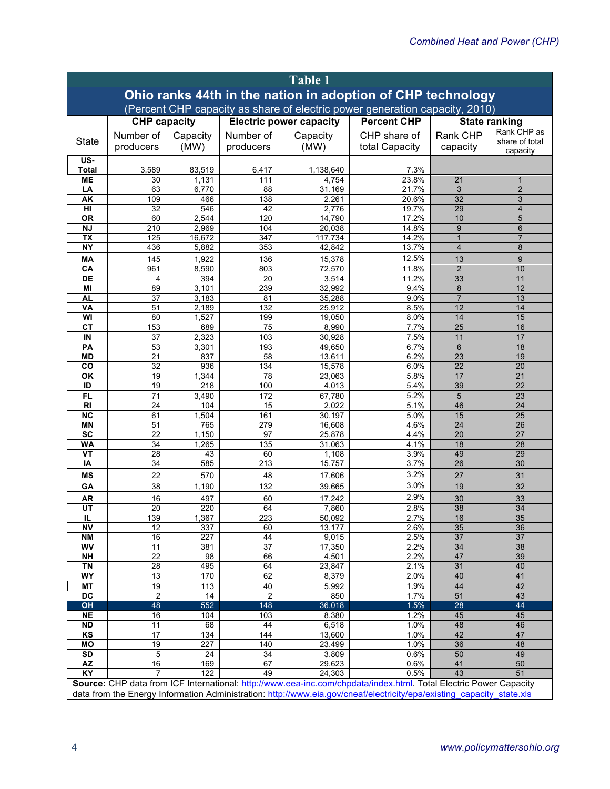| Table 1                                                                                                               |                                                                             |                        |                                                      |                  |                |                      |                            |  |  |
|-----------------------------------------------------------------------------------------------------------------------|-----------------------------------------------------------------------------|------------------------|------------------------------------------------------|------------------|----------------|----------------------|----------------------------|--|--|
| Ohio ranks 44th in the nation in adoption of CHP technology                                                           |                                                                             |                        |                                                      |                  |                |                      |                            |  |  |
|                                                                                                                       | (Percent CHP capacity as share of electric power generation capacity, 2010) |                        |                                                      |                  |                |                      |                            |  |  |
|                                                                                                                       | <b>CHP capacity</b>                                                         |                        | <b>Percent CHP</b><br><b>Electric power capacity</b> |                  |                | <b>State ranking</b> |                            |  |  |
|                                                                                                                       | Number of                                                                   | Capacity               | Number of                                            | Capacity         | CHP share of   | Rank CHP             | Rank CHP as                |  |  |
| <b>State</b>                                                                                                          | producers                                                                   | (MW)                   | producers                                            | (MW)             | total Capacity | capacity             | share of total<br>capacity |  |  |
| US-                                                                                                                   |                                                                             |                        |                                                      |                  |                |                      |                            |  |  |
| <b>Total</b>                                                                                                          | 3,589                                                                       | 83,519                 | 6,417                                                | 1,138,640        | 7.3%           |                      |                            |  |  |
| <b>ME</b>                                                                                                             | 30                                                                          | 1,131                  | 111                                                  | 4,754            | 23.8%          | 21                   | 1                          |  |  |
| LA<br>AK                                                                                                              | 63<br>109                                                                   | 6,770<br>466           | 88<br>138                                            | 31,169<br>2,261  | 21.7%<br>20.6% | 3<br>32              | $\overline{2}$<br>3        |  |  |
| $\overline{H}$                                                                                                        | $\overline{32}$                                                             | 546                    | 42                                                   | 2,776            | 19.7%          | 29                   | $\overline{\mathbf{4}}$    |  |  |
| <b>OR</b>                                                                                                             | 60                                                                          | 2,544                  | 120                                                  | 14,790           | 17.2%          | 10                   | $\overline{5}$             |  |  |
| <b>NJ</b>                                                                                                             | 210                                                                         | 2,969                  | 104                                                  | 20,038           | 14.8%          | 9                    | $6\phantom{1}$             |  |  |
| <b>TX</b>                                                                                                             | 125                                                                         | 16,672                 | 347                                                  | 117,734          | 14.2%          | $\mathbf{1}$         | $\overline{7}$             |  |  |
| $\overline{NY}$                                                                                                       | 436                                                                         | 5,882                  | 353                                                  | 42,842           | 13.7%          | $\overline{4}$       | 8                          |  |  |
| ΜA<br>CA                                                                                                              | 145<br>961                                                                  | 1,922<br>8,590         | 136<br>803                                           | 15,378<br>72,570 | 12.5%<br>11.8% | 13<br>$\overline{2}$ | 9<br>10                    |  |  |
| DE                                                                                                                    | $\overline{4}$                                                              | 394                    | 20                                                   | 3,514            | 11.2%          | 33                   | 11                         |  |  |
| MI                                                                                                                    | 89                                                                          | 3,101                  | 239                                                  | 32,992           | 9.4%           | 8                    | 12                         |  |  |
| <b>AL</b>                                                                                                             | 37                                                                          | 3,183                  | 81                                                   | 35,288           | 9.0%           | $\overline{7}$       | 13                         |  |  |
| <b>VA</b>                                                                                                             | 51                                                                          | 2,189                  | 132                                                  | 25,912           | 8.5%           | 12                   | 14                         |  |  |
| WI                                                                                                                    | 80                                                                          | 1,527                  | 199                                                  | 19,050           | 8.0%           | 14                   | 15                         |  |  |
| <b>CT</b>                                                                                                             | $\overline{153}$                                                            | 689                    | 75                                                   | 8,990            | 7.7%           | $\overline{25}$      | 16                         |  |  |
| IN<br>PA                                                                                                              | 37<br>53                                                                    | 2,323<br>3,301         | 103<br>193                                           | 30,928<br>49,650 | 7.5%<br>6.7%   | 11<br>$6\phantom{1}$ | 17<br>18                   |  |  |
| <b>MD</b>                                                                                                             | 21                                                                          | 837                    | 58                                                   | 13,611           | 6.2%           | $\overline{23}$      | 19                         |  |  |
| CO                                                                                                                    | 32                                                                          | 936                    | 134                                                  | 15,578           | 6.0%           | 22                   | 20                         |  |  |
| $\overline{\mathsf{OK}}$                                                                                              | 19                                                                          | 1,344                  | $\overline{78}$                                      | 23,063           | 5.8%           | 17                   | $\overline{21}$            |  |  |
| ID                                                                                                                    | 19                                                                          | 218                    | 100                                                  | 4,013            | 5.4%           | 39                   | $\overline{22}$            |  |  |
| FL                                                                                                                    | 71                                                                          | 3,490                  | 172                                                  | 67,780           | 5.2%           | $5\phantom{1}$       | 23                         |  |  |
| R <sub>l</sub><br><b>NC</b>                                                                                           | 24<br>61                                                                    | 104<br>1,504           | 15<br>161                                            | 2,022<br>30,197  | 5.1%<br>5.0%   | 46<br>15             | 24<br>25                   |  |  |
| ΜN                                                                                                                    | 51                                                                          | 765                    | 279                                                  | 16,608           | 4.6%           | 24                   | 26                         |  |  |
| <b>SC</b>                                                                                                             | $\overline{22}$                                                             | 1,150                  | 97                                                   | 25,878           | 4.4%           | 20                   | $\overline{27}$            |  |  |
| <b>WA</b>                                                                                                             | 34                                                                          | 1,265                  | 135                                                  | 31,063           | 4.1%           | 18                   | 28                         |  |  |
| $\overline{\mathsf{v}\mathsf{T}}$                                                                                     | $\overline{28}$                                                             | 43                     | 60                                                   | 1,108            | 3.9%           | 49                   | 29                         |  |  |
| IA                                                                                                                    | 34                                                                          | 585                    | 213                                                  | 15,757           | 3.7%           | 26                   | 30                         |  |  |
| <b>MS</b>                                                                                                             | 22                                                                          | 570                    | 48                                                   | 17,606           | 3.2%           | 27                   | 31                         |  |  |
| GΑ                                                                                                                    | 38                                                                          | 1,190                  | 132                                                  | 39,665           | 3.0%           | 19                   | 32                         |  |  |
| <b>AR</b>                                                                                                             | 16                                                                          | 497                    | 60                                                   | 17,242           | 2.9%           | 30                   | 33                         |  |  |
| $\overline{UT}$<br>IL                                                                                                 | 20<br>139                                                                   | 220<br>1,367           | 64<br>223                                            | 7,860<br>50,092  | 2.8%<br>2.7%   | 38<br>16             | $\overline{34}$<br>35      |  |  |
| <b>NV</b>                                                                                                             | 12                                                                          | 337                    | 60                                                   | 13,177           | 2.6%           | 35                   | 36                         |  |  |
| <b>NM</b>                                                                                                             | 16                                                                          | 227                    | 44                                                   | 9,015            | 2.5%           | 37                   | 37                         |  |  |
| WV                                                                                                                    | 11                                                                          | 381                    | 37                                                   | 17,350           | 2.2%           | 34                   | 38                         |  |  |
| <b>NH</b>                                                                                                             | $\overline{22}$                                                             | 98                     | 66                                                   | 4,501            | 2.2%           | 47                   | 39                         |  |  |
| <b>TN</b>                                                                                                             | 28                                                                          | 495                    | 64                                                   | 23,847           | 2.1%           | 31                   | 40                         |  |  |
| WY<br><b>MT</b>                                                                                                       | 13<br>19                                                                    | 170                    | 62                                                   | 8,379            | 2.0%<br>1.9%   | 40                   | 41                         |  |  |
| DC                                                                                                                    | $\overline{2}$                                                              | 113<br>14              | 40<br>$\overline{c}$                                 | 5,992<br>850     | 1.7%           | 44<br>51             | 42<br>43                   |  |  |
| OH                                                                                                                    | 48                                                                          | 552                    | 148                                                  | 36,018           | 1.5%           | 28                   | 44                         |  |  |
| <b>NE</b>                                                                                                             | 16                                                                          | 104                    | 103                                                  | 8,380            | 1.2%           | 45                   | 45                         |  |  |
| <b>ND</b>                                                                                                             | 11                                                                          | 68                     | 44                                                   | 6,518            | 1.0%           | 48                   | 46                         |  |  |
| KS                                                                                                                    | 17                                                                          | 134                    | 144                                                  | 13,600           | 1.0%           | 42                   | 47                         |  |  |
| $\overline{M}$<br>SD                                                                                                  | 19<br>5                                                                     | $\overline{227}$<br>24 | 140<br>34                                            | 23,499<br>3,809  | 1.0%<br>0.6%   | 36<br>50             | 48<br>49                   |  |  |
| <b>AZ</b>                                                                                                             | 16                                                                          | 169                    | 67                                                   | 29,623           | 0.6%           | 41                   | 50                         |  |  |
| KY                                                                                                                    |                                                                             | 122                    | 49                                                   | 24,303           | 0.5%           | 43                   | 51                         |  |  |
| Source: CHP data from ICF International: http://www.eea-inc.com/chpdata/index.html. Total Electric Power Capacity     |                                                                             |                        |                                                      |                  |                |                      |                            |  |  |
| data from the Energy Information Administration: http://www.eia.gov/cneaf/electricity/epa/existing_capacity_state.xls |                                                                             |                        |                                                      |                  |                |                      |                            |  |  |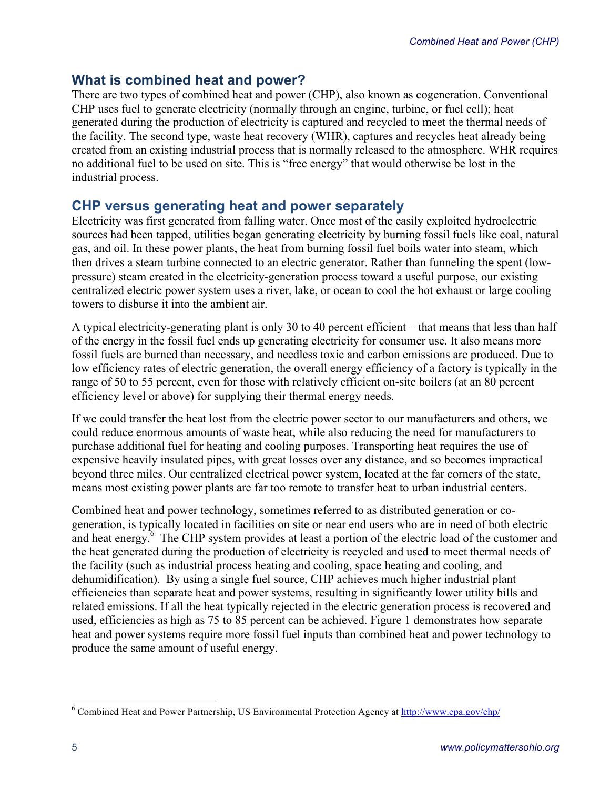# **What is combined heat and power?**

There are two types of combined heat and power (CHP), also known as cogeneration. Conventional CHP uses fuel to generate electricity (normally through an engine, turbine, or fuel cell); heat generated during the production of electricity is captured and recycled to meet the thermal needs of the facility. The second type, waste heat recovery (WHR), captures and recycles heat already being created from an existing industrial process that is normally released to the atmosphere. WHR requires no additional fuel to be used on site. This is "free energy" that would otherwise be lost in the industrial process.

# **CHP versus generating heat and power separately**

Electricity was first generated from falling water. Once most of the easily exploited hydroelectric sources had been tapped, utilities began generating electricity by burning fossil fuels like coal, natural gas, and oil. In these power plants, the heat from burning fossil fuel boils water into steam, which then drives a steam turbine connected to an electric generator. Rather than funneling the spent (lowpressure) steam created in the electricity-generation process toward a useful purpose, our existing centralized electric power system uses a river, lake, or ocean to cool the hot exhaust or large cooling towers to disburse it into the ambient air.

A typical electricity-generating plant is only 30 to 40 percent efficient – that means that less than half of the energy in the fossil fuel ends up generating electricity for consumer use. It also means more fossil fuels are burned than necessary, and needless toxic and carbon emissions are produced. Due to low efficiency rates of electric generation, the overall energy efficiency of a factory is typically in the range of 50 to 55 percent, even for those with relatively efficient on-site boilers (at an 80 percent efficiency level or above) for supplying their thermal energy needs.

If we could transfer the heat lost from the electric power sector to our manufacturers and others, we could reduce enormous amounts of waste heat, while also reducing the need for manufacturers to purchase additional fuel for heating and cooling purposes. Transporting heat requires the use of expensive heavily insulated pipes, with great losses over any distance, and so becomes impractical beyond three miles. Our centralized electrical power system, located at the far corners of the state, means most existing power plants are far too remote to transfer heat to urban industrial centers.

Combined heat and power technology, sometimes referred to as distributed generation or cogeneration, is typically located in facilities on site or near end users who are in need of both electric and heat energy.<sup>6</sup> The CHP system provides at least a portion of the electric load of the customer and the heat generated during the production of electricity is recycled and used to meet thermal needs of the facility (such as industrial process heating and cooling, space heating and cooling, and dehumidification). By using a single fuel source, CHP achieves much higher industrial plant efficiencies than separate heat and power systems, resulting in significantly lower utility bills and related emissions. If all the heat typically rejected in the electric generation process is recovered and used, efficiencies as high as 75 to 85 percent can be achieved. Figure 1 demonstrates how separate heat and power systems require more fossil fuel inputs than combined heat and power technology to produce the same amount of useful energy.

 $6$  Combined Heat and Power Partnership, US Environmental Protection Agency at  $\frac{http://www.epa.gov/chip/}{http://www.epa.gov/chip/}$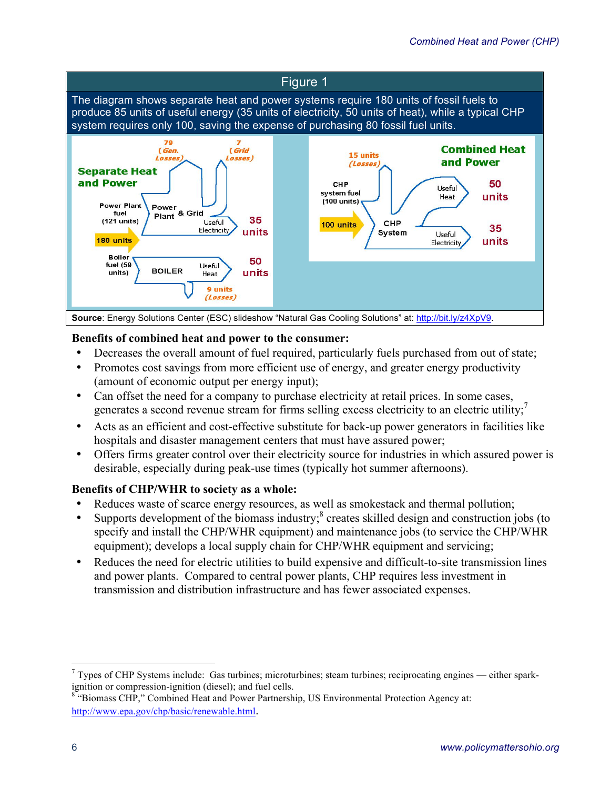### Figure 1

The diagram shows separate heat and power systems require 180 units of fossil fuels to produce 85 units of useful energy (35 units of electricity, 50 units of heat), while a typical CHP system requires only 100, saving the expense of purchasing 80 fossil fuel units.



### **Benefits of combined heat and power to the consumer:**

- Decreases the overall amount of fuel required, particularly fuels purchased from out of state;
- Promotes cost savings from more efficient use of energy, and greater energy productivity (amount of economic output per energy input);
- Can offset the need for a company to purchase electricity at retail prices. In some cases, generates a second revenue stream for firms selling excess electricity to an electric utility;<sup>7</sup>
- Acts as an efficient and cost-effective substitute for back-up power generators in facilities like hospitals and disaster management centers that must have assured power;
- Offers firms greater control over their electricity source for industries in which assured power is desirable, especially during peak-use times (typically hot summer afternoons).

### **Benefits of CHP/WHR to society as a whole:**

- Reduces waste of scarce energy resources, as well as smokestack and thermal pollution;
- Supports development of the biomass industry;<sup>8</sup> creates skilled design and construction jobs (to specify and install the CHP/WHR equipment) and maintenance jobs (to service the CHP/WHR equipment); develops a local supply chain for CHP/WHR equipment and servicing;
- Reduces the need for electric utilities to build expensive and difficult-to-site transmission lines and power plants. Compared to central power plants, CHP requires less investment in transmission and distribution infrastructure and has fewer associated expenses.

 $7$  Types of CHP Systems include: Gas turbines; microturbines; steam turbines; reciprocating engines — either sparkignition or compression-ignition (diesel); and fuel cells.<br><sup>8</sup> "Biomass CHP," Combined Heat and Power Partnership, US Environmental Protection Agency at:

http://www.epa.gov/chp/basic/renewable.html.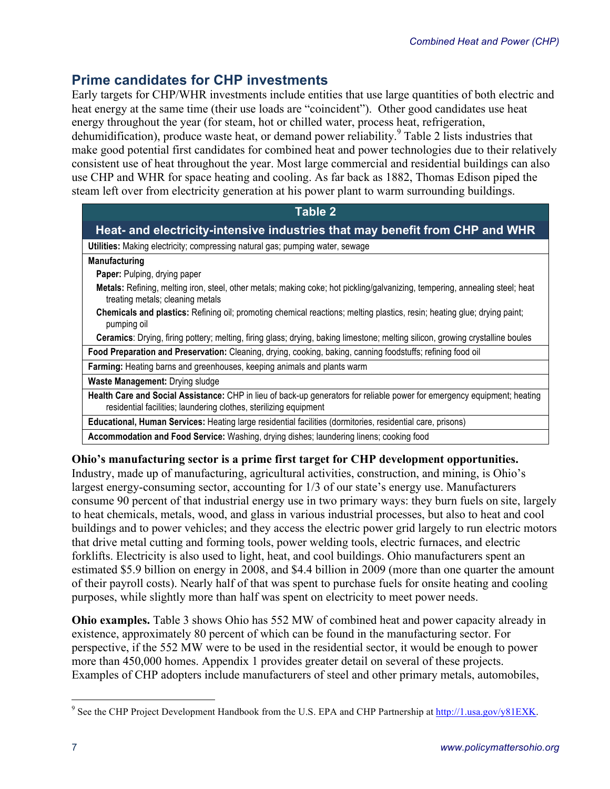# **Prime candidates for CHP investments**

Early targets for CHP/WHR investments include entities that use large quantities of both electric and heat energy at the same time (their use loads are "coincident"). Other good candidates use heat energy throughout the year (for steam, hot or chilled water, process heat, refrigeration, dehumidification), produce waste heat, or demand power reliability.<sup>9</sup> Table 2 lists industries that make good potential first candidates for combined heat and power technologies due to their relatively consistent use of heat throughout the year. Most large commercial and residential buildings can also use CHP and WHR for space heating and cooling. As far back as 1882, Thomas Edison piped the steam left over from electricity generation at his power plant to warm surrounding buildings.

| Table 2                                                                                                                                                                                       |  |  |  |  |  |
|-----------------------------------------------------------------------------------------------------------------------------------------------------------------------------------------------|--|--|--|--|--|
| Heat- and electricity-intensive industries that may benefit from CHP and WHR                                                                                                                  |  |  |  |  |  |
| <b>Utilities:</b> Making electricity; compressing natural gas; pumping water, sewage                                                                                                          |  |  |  |  |  |
| <b>Manufacturing</b>                                                                                                                                                                          |  |  |  |  |  |
| <b>Paper:</b> Pulping, drying paper                                                                                                                                                           |  |  |  |  |  |
| Metals: Refining, melting iron, steel, other metals; making coke; hot pickling/galvanizing, tempering, annealing steel; heat<br>treating metals; cleaning metals                              |  |  |  |  |  |
| Chemicals and plastics: Refining oil; promoting chemical reactions; melting plastics, resin; heating glue; drying paint;<br>pumping oil                                                       |  |  |  |  |  |
| Ceramics: Drying, firing pottery; melting, firing glass; drying, baking limestone; melting silicon, growing crystalline boules                                                                |  |  |  |  |  |
| Food Preparation and Preservation: Cleaning, drying, cooking, baking, canning foodstuffs; refining food oil                                                                                   |  |  |  |  |  |
| Farming: Heating barns and greenhouses, keeping animals and plants warm                                                                                                                       |  |  |  |  |  |
| <b>Waste Management:</b> Drying sludge                                                                                                                                                        |  |  |  |  |  |
| Health Care and Social Assistance: CHP in lieu of back-up generators for reliable power for emergency equipment; heating<br>residential facilities; laundering clothes, sterilizing equipment |  |  |  |  |  |
| Educational, Human Services: Heating large residential facilities (dormitories, residential care, prisons)                                                                                    |  |  |  |  |  |
| Accommodation and Food Service: Washing, drying dishes; laundering linens; cooking food                                                                                                       |  |  |  |  |  |
|                                                                                                                                                                                               |  |  |  |  |  |

### **Ohio's manufacturing sector is a prime first target for CHP development opportunities.**

Industry, made up of manufacturing, agricultural activities, construction, and mining, is Ohio's largest energy-consuming sector, accounting for 1/3 of our state's energy use. Manufacturers consume 90 percent of that industrial energy use in two primary ways: they burn fuels on site, largely to heat chemicals, metals, wood, and glass in various industrial processes, but also to heat and cool buildings and to power vehicles; and they access the electric power grid largely to run electric motors that drive metal cutting and forming tools, power welding tools, electric furnaces, and electric forklifts. Electricity is also used to light, heat, and cool buildings. Ohio manufacturers spent an estimated \$5.9 billion on energy in 2008, and \$4.4 billion in 2009 (more than one quarter the amount of their payroll costs). Nearly half of that was spent to purchase fuels for onsite heating and cooling purposes, while slightly more than half was spent on electricity to meet power needs.

**Ohio examples.** Table 3 shows Ohio has 552 MW of combined heat and power capacity already in existence, approximately 80 percent of which can be found in the manufacturing sector. For perspective, if the 552 MW were to be used in the residential sector, it would be enough to power more than 450,000 homes. Appendix 1 provides greater detail on several of these projects. Examples of CHP adopters include manufacturers of steel and other primary metals, automobiles,

<sup>&</sup>lt;sup>9</sup> See the CHP Project Development Handbook from the U.S. EPA and CHP Partnership at http://1.usa.gov/y81EXK.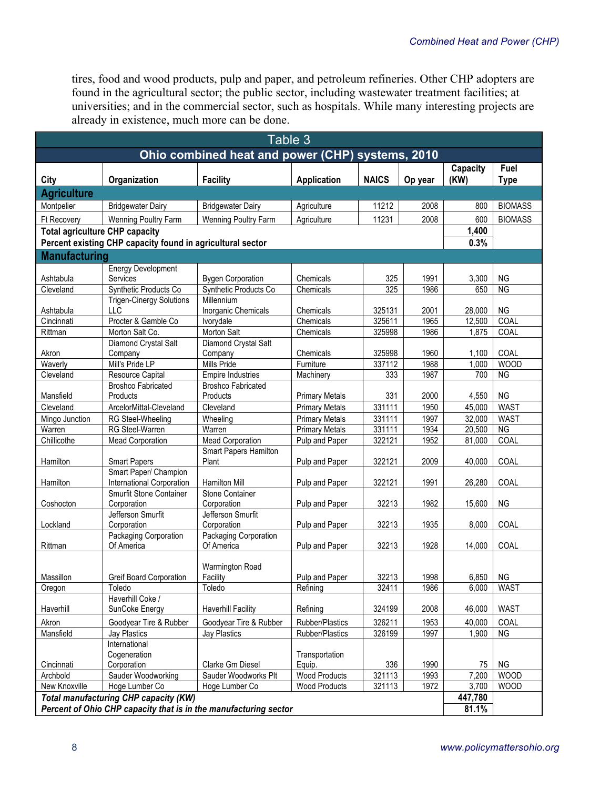tires, food and wood products, pulp and paper, and petroleum refineries. Other CHP adopters are found in the agricultural sector; the public sector, including wastewater treatment facilities; at universities; and in the commercial sector, such as hospitals. While many interesting projects are already in existence, much more can be done.

| Table 3                                                          |                                       |                                       |                       |              |         |          |                |
|------------------------------------------------------------------|---------------------------------------|---------------------------------------|-----------------------|--------------|---------|----------|----------------|
| Ohio combined heat and power (CHP) systems, 2010                 |                                       |                                       |                       |              |         |          |                |
|                                                                  |                                       |                                       |                       |              |         | Capacity | Fuel           |
| City                                                             | Organization                          | <b>Facility</b>                       | <b>Application</b>    | <b>NAICS</b> | Op year | (KW)     | <b>Type</b>    |
| <b>Agriculture</b>                                               |                                       |                                       |                       |              |         |          |                |
| Montpelier                                                       | <b>Bridgewater Dairy</b>              | <b>Bridgewater Dairy</b>              | Agriculture           | 11212        | 2008    | 800      | <b>BIOMASS</b> |
| <b>Ft Recovery</b>                                               | Wenning Poultry Farm                  | Wenning Poultry Farm                  | Agriculture           | 11231        | 2008    | 600      | <b>BIOMASS</b> |
| <b>Total agriculture CHP capacity</b>                            |                                       |                                       |                       |              |         | 1,400    |                |
| Percent existing CHP capacity found in agricultural sector       | 0.3%                                  |                                       |                       |              |         |          |                |
| <b>Manufacturing</b>                                             |                                       |                                       |                       |              |         |          |                |
|                                                                  | <b>Energy Development</b>             |                                       |                       |              |         |          |                |
| Ashtabula                                                        | Services                              | <b>Bygen Corporation</b>              | Chemicals             | 325          | 1991    | 3,300    | <b>NG</b>      |
| Cleveland                                                        | Synthetic Products Co                 | Synthetic Products Co                 | Chemicals             | 325          | 1986    | 650      | N <sub>G</sub> |
|                                                                  | <b>Trigen-Cinergy Solutions</b>       | Millennium                            |                       |              |         |          |                |
| Ashtabula                                                        | <b>LLC</b>                            | Inorganic Chemicals                   | Chemicals             | 325131       | 2001    | 28,000   | <b>NG</b>      |
| Cincinnati                                                       | Procter & Gamble Co                   | Ivorydale                             | Chemicals             | 325611       | 1965    | 12,500   | COAL           |
| Rittman                                                          | Morton Salt Co.                       | Morton Salt                           | Chemicals             | 325998       | 1986    | 1,875    | COAL           |
|                                                                  | Diamond Crystal Salt                  | Diamond Crystal Salt                  |                       |              |         |          |                |
| Akron                                                            | Company                               | Company                               | Chemicals             | 325998       | 1960    | 1,100    | COAL           |
| Waverly                                                          | Mill's Pride LP                       | Mills Pride                           | Furniture             | 337112       | 1988    | 1,000    | <b>WOOD</b>    |
| Cleveland                                                        | Resource Capital                      | <b>Empire Industries</b>              | Machinery             | 333          | 1987    | 700      | <b>NG</b>      |
| Mansfield                                                        | <b>Broshco Fabricated</b><br>Products | <b>Broshco Fabricated</b><br>Products | <b>Primary Metals</b> | 331          | 2000    | 4,550    | <b>NG</b>      |
| Cleveland                                                        | ArcelorMittal-Cleveland               | Cleveland                             | <b>Primary Metals</b> | 331111       | 1950    | 45,000   | <b>WAST</b>    |
| Mingo Junction                                                   | RG Steel-Wheeling                     | Wheeling                              | <b>Primary Metals</b> | 331111       | 1997    | 32,000   | <b>WAST</b>    |
| Warren                                                           | RG Steel-Warren                       | Warren                                | <b>Primary Metals</b> | 331111       | 1934    | 20,500   | <b>NG</b>      |
| Chillicothe                                                      | <b>Mead Corporation</b>               | <b>Mead Corporation</b>               | Pulp and Paper        | 322121       | 1952    | 81,000   | <b>COAL</b>    |
|                                                                  |                                       | <b>Smart Papers Hamilton</b>          |                       |              |         |          |                |
| Hamilton                                                         | <b>Smart Papers</b>                   | Plant                                 | Pulp and Paper        | 322121       | 2009    | 40,000   | COAL           |
|                                                                  | Smart Paper/ Champion                 |                                       |                       |              |         |          |                |
| Hamilton                                                         | <b>International Corporation</b>      | Hamilton Mill                         | Pulp and Paper        | 322121       | 1991    | 26,280   | COAL           |
|                                                                  | Smurfit Stone Container               | Stone Container                       |                       |              |         |          |                |
| Coshocton                                                        | Corporation                           | Corporation                           | Pulp and Paper        | 32213        | 1982    | 15,600   | <b>NG</b>      |
|                                                                  | Jefferson Smurfit                     | Jefferson Smurfit                     |                       |              |         |          |                |
| Lockland                                                         | Corporation                           | Corporation                           | Pulp and Paper        | 32213        | 1935    | 8,000    | COAL           |
|                                                                  | Packaging Corporation                 | Packaging Corporation                 |                       |              |         |          |                |
| Rittman                                                          | Of America                            | Of America                            | Pulp and Paper        | 32213        | 1928    | 14,000   | COAL           |
|                                                                  |                                       | Warmington Road                       |                       |              |         |          |                |
| Massillon                                                        | Greif Board Corporation               | Facility                              | Pulp and Paper        | 32213        | 1998    | 6,850    | <b>NG</b>      |
| Oregon                                                           | Toledo                                | Toledo                                | Refining              | 32411        | 1986    | 6,000    | <b>WAST</b>    |
|                                                                  | Haverhill Coke /                      |                                       |                       |              |         |          |                |
| Haverhill                                                        | SunCoke Energy                        | <b>Haverhill Facility</b>             | Refining              | 324199       | 2008    | 46,000   | <b>WAST</b>    |
| Akron                                                            | Goodyear Tire & Rubber                | Goodyear Tire & Rubber                | Rubber/Plastics       | 326211       | 1953    | 40,000   | COAL           |
| Mansfield                                                        | <b>Jay Plastics</b>                   | <b>Jay Plastics</b>                   | Rubber/Plastics       | 326199       | 1997    | 1,900    | N <sub>G</sub> |
|                                                                  | International                         |                                       |                       |              |         |          |                |
|                                                                  | Cogeneration                          |                                       | Transportation        |              |         |          |                |
| Cincinnati                                                       | Corporation                           | Clarke Gm Diesel                      | Equip.                | 336          | 1990    | 75       | <b>NG</b>      |
| Archbold                                                         | Sauder Woodworking                    | Sauder Woodworks Plt                  | <b>Wood Products</b>  | 321113       | 1993    | 7,200    | <b>WOOD</b>    |
| New Knoxville                                                    | Hoge Lumber Co                        | Hoge Lumber Co                        | <b>Wood Products</b>  | 321113       | 1972    | 3,700    | <b>WOOD</b>    |
| Total manufacturing CHP capacity (KW)                            |                                       |                                       |                       |              |         |          |                |
| Percent of Ohio CHP capacity that is in the manufacturing sector |                                       |                                       |                       |              |         |          |                |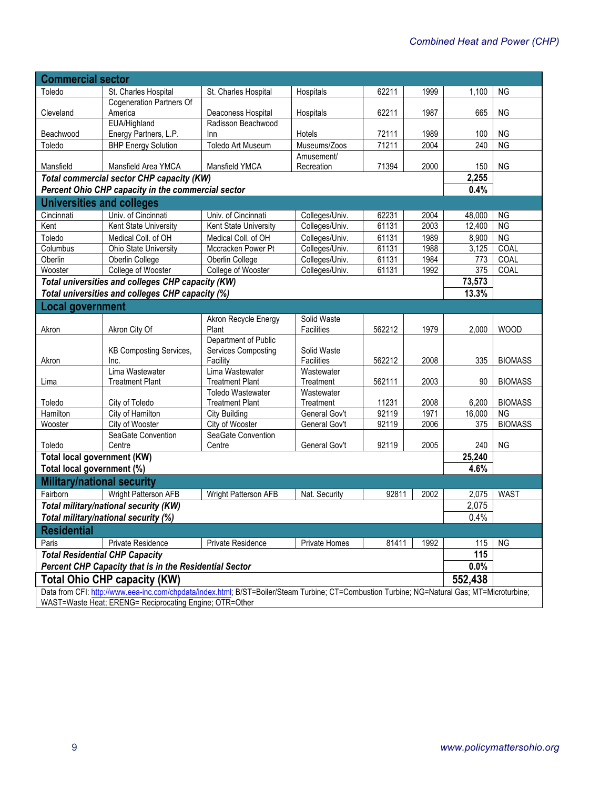| <b>Commercial sector</b>                                                                                                                     |                                                   |                                  |                                |                |              |                |                             |  |
|----------------------------------------------------------------------------------------------------------------------------------------------|---------------------------------------------------|----------------------------------|--------------------------------|----------------|--------------|----------------|-----------------------------|--|
| Toledo                                                                                                                                       | St. Charles Hospital                              | St. Charles Hospital             | Hospitals                      | 62211          | 1999         | 1,100          | <b>NG</b>                   |  |
|                                                                                                                                              | <b>Cogeneration Partners Of</b>                   |                                  |                                |                |              |                |                             |  |
| Cleveland                                                                                                                                    | America                                           | Deaconess Hospital               | Hospitals                      | 62211          | 1987         | 665            | <b>NG</b>                   |  |
|                                                                                                                                              | EUA/Highland                                      | Radisson Beachwood               |                                |                |              |                |                             |  |
| Beachwood                                                                                                                                    | Energy Partners, L.P.                             | Inn                              | Hotels                         | 72111          | 1989         | 100            | <b>NG</b>                   |  |
| Toledo                                                                                                                                       | <b>BHP Energy Solution</b>                        | Toledo Art Museum                | Museums/Zoos                   | 71211          | 2004         | 240            | <b>NG</b>                   |  |
|                                                                                                                                              |                                                   |                                  | Amusement/                     |                |              |                |                             |  |
| Mansfield                                                                                                                                    | Mansfield Area YMCA                               | Mansfield YMCA                   | Recreation                     | 71394          | 2000         | 150            | <b>NG</b>                   |  |
| Total commercial sector CHP capacity (KW)                                                                                                    | 2,255                                             |                                  |                                |                |              |                |                             |  |
| Percent Ohio CHP capacity in the commercial sector                                                                                           | 0.4%                                              |                                  |                                |                |              |                |                             |  |
| <b>Universities and colleges</b>                                                                                                             |                                                   |                                  |                                |                |              |                |                             |  |
| Cincinnati                                                                                                                                   | Univ. of Cincinnati                               | Univ. of Cincinnati              | Colleges/Univ.                 | 62231          | 2004         | 48,000         | <b>NG</b>                   |  |
| Kent                                                                                                                                         | Kent State University                             | Kent State University            | Colleges/Univ.                 | 61131          | 2003         | 12,400         | <b>NG</b>                   |  |
| Toledo                                                                                                                                       | Medical Coll. of OH                               | Medical Coll. of OH              | Colleges/Univ.                 | 61131          | 1989         | 8,900          | <b>NG</b>                   |  |
| Columbus                                                                                                                                     | Ohio State University                             | Mccracken Power Pt               | Colleges/Univ.                 | 61131          | 1988         | 3,125          | COAL                        |  |
| Oberlin                                                                                                                                      | Oberlin College                                   | Oberlin College                  | Colleges/Univ.                 | 61131          | 1984         | 773            | COAL                        |  |
| Wooster                                                                                                                                      | College of Wooster                                | College of Wooster               | Colleges/Univ.                 | 61131          | 1992         | 375            | COAL                        |  |
|                                                                                                                                              | Total universities and colleges CHP capacity (KW) |                                  |                                |                |              | 73,573         |                             |  |
|                                                                                                                                              | Total universities and colleges CHP capacity (%)  |                                  |                                |                |              | 13.3%          |                             |  |
| Local government                                                                                                                             |                                                   |                                  |                                |                |              |                |                             |  |
|                                                                                                                                              |                                                   | Akron Recycle Energy             | Solid Waste                    |                |              |                |                             |  |
| Akron                                                                                                                                        | Akron City Of                                     | Plant                            | Facilities                     | 562212         | 1979         | 2,000          | <b>WOOD</b>                 |  |
|                                                                                                                                              |                                                   | Department of Public             |                                |                |              |                |                             |  |
|                                                                                                                                              | <b>KB Composting Services,</b>                    | Services Composting              | Solid Waste                    |                |              |                |                             |  |
| Akron                                                                                                                                        | Inc.                                              | Facility                         | Facilities                     | 562212         | 2008         | 335            | <b>BIOMASS</b>              |  |
|                                                                                                                                              | Lima Wastewater                                   | Lima Wastewater                  | Wastewater                     |                |              |                |                             |  |
| Lima                                                                                                                                         | <b>Treatment Plant</b>                            | <b>Treatment Plant</b>           | Treatment                      | 562111         | 2003         | 90             | <b>BIOMASS</b>              |  |
|                                                                                                                                              |                                                   | Toledo Wastewater                | Wastewater                     |                |              |                |                             |  |
| Toledo<br>Hamilton                                                                                                                           | City of Toledo<br>City of Hamilton                | <b>Treatment Plant</b>           | Treatment                      | 11231          | 2008<br>1971 | 6,200          | <b>BIOMASS</b><br><b>NG</b> |  |
| Wooster                                                                                                                                      | City of Wooster                                   | City Building<br>City of Wooster | General Gov't<br>General Gov't | 92119<br>92119 | 2006         | 16,000<br>375  | <b>BIOMASS</b>              |  |
|                                                                                                                                              | SeaGate Convention                                | SeaGate Convention               |                                |                |              |                |                             |  |
| Toledo                                                                                                                                       | Centre                                            | Centre                           | General Gov't                  | 92119          | 2005         | 240            | <b>NG</b>                   |  |
| Total local government (KW)                                                                                                                  | 25,240                                            |                                  |                                |                |              |                |                             |  |
| Total local government (%)                                                                                                                   |                                                   |                                  |                                |                |              | 4.6%           |                             |  |
| <b>Military/national security</b>                                                                                                            |                                                   |                                  |                                |                |              |                |                             |  |
|                                                                                                                                              |                                                   |                                  |                                |                |              |                |                             |  |
| Fairborn                                                                                                                                     | Wright Patterson AFB                              | Wright Patterson AFB             | Nat. Security                  | 92811          | 2002         | 2,075<br>2,075 | WAST                        |  |
| Total military/national security (KW)                                                                                                        |                                                   |                                  |                                |                |              |                |                             |  |
| Total military/national security (%)                                                                                                         |                                                   |                                  |                                |                |              |                |                             |  |
| <b>Residential</b><br>Private Residence<br>Private Homes<br>Private Residence<br>81411<br>1992                                               |                                                   |                                  |                                |                |              |                |                             |  |
| Paris                                                                                                                                        | 115<br>115                                        | <b>NG</b>                        |                                |                |              |                |                             |  |
| <b>Total Residential CHP Capacity</b>                                                                                                        |                                                   |                                  |                                |                |              |                |                             |  |
| Percent CHP Capacity that is in the Residential Sector                                                                                       |                                                   |                                  |                                |                |              |                |                             |  |
| <b>Total Ohio CHP capacity (KW)</b>                                                                                                          |                                                   |                                  |                                |                |              |                |                             |  |
| Data from CFI: http://www.eea-inc.com/chpdata/index.html; B/ST=Boiler/Steam Turbine; CT=Combustion Turbine; NG=Natural Gas; MT=Microturbine; |                                                   |                                  |                                |                |              |                |                             |  |
| WAST=Waste Heat; ERENG= Reciprocating Engine; OTR=Other                                                                                      |                                                   |                                  |                                |                |              |                |                             |  |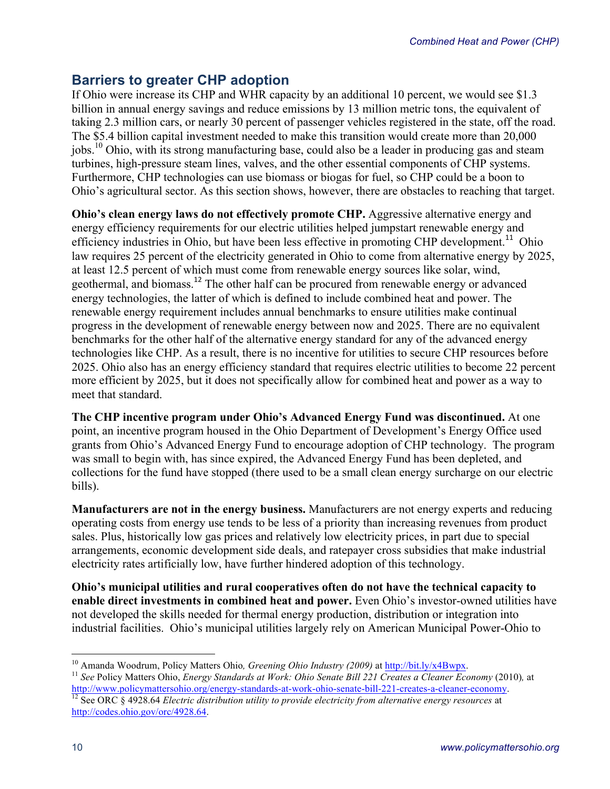# **Barriers to greater CHP adoption**

If Ohio were increase its CHP and WHR capacity by an additional 10 percent, we would see \$1.3 billion in annual energy savings and reduce emissions by 13 million metric tons, the equivalent of taking 2.3 million cars, or nearly 30 percent of passenger vehicles registered in the state, off the road. The \$5.4 billion capital investment needed to make this transition would create more than 20,000 jobs.<sup>10</sup> Ohio, with its strong manufacturing base, could also be a leader in producing gas and steam turbines, high-pressure steam lines, valves, and the other essential components of CHP systems. Furthermore, CHP technologies can use biomass or biogas for fuel, so CHP could be a boon to Ohio's agricultural sector. As this section shows, however, there are obstacles to reaching that target.

**Ohio's clean energy laws do not effectively promote CHP.** Aggressive alternative energy and energy efficiency requirements for our electric utilities helped jumpstart renewable energy and efficiency industries in Ohio, but have been less effective in promoting CHP development.<sup>11</sup> Ohio law requires 25 percent of the electricity generated in Ohio to come from alternative energy by 2025, at least 12.5 percent of which must come from renewable energy sources like solar, wind, geothermal, and biomass.<sup>12</sup> The other half can be procured from renewable energy or advanced energy technologies, the latter of which is defined to include combined heat and power. The renewable energy requirement includes annual benchmarks to ensure utilities make continual progress in the development of renewable energy between now and 2025. There are no equivalent benchmarks for the other half of the alternative energy standard for any of the advanced energy technologies like CHP. As a result, there is no incentive for utilities to secure CHP resources before 2025. Ohio also has an energy efficiency standard that requires electric utilities to become 22 percent more efficient by 2025, but it does not specifically allow for combined heat and power as a way to meet that standard.

**The CHP incentive program under Ohio's Advanced Energy Fund was discontinued.** At one point, an incentive program housed in the Ohio Department of Development's Energy Office used grants from Ohio's Advanced Energy Fund to encourage adoption of CHP technology. The program was small to begin with, has since expired, the Advanced Energy Fund has been depleted, and collections for the fund have stopped (there used to be a small clean energy surcharge on our electric bills).

**Manufacturers are not in the energy business.** Manufacturers are not energy experts and reducing operating costs from energy use tends to be less of a priority than increasing revenues from product sales. Plus, historically low gas prices and relatively low electricity prices, in part due to special arrangements, economic development side deals, and ratepayer cross subsidies that make industrial electricity rates artificially low, have further hindered adoption of this technology.

**Ohio's municipal utilities and rural cooperatives often do not have the technical capacity to enable direct investments in combined heat and power.** Even Ohio's investor-owned utilities have not developed the skills needed for thermal energy production, distribution or integration into industrial facilities. Ohio's municipal utilities largely rely on American Municipal Power-Ohio to

<sup>&</sup>lt;sup>10</sup> Amanda Woodrum, Policy Matters Ohio, *Greening Ohio Industry (2009)* at  $\frac{http://bit.ly/x4Bwpx}{http://bit.ly/x4Bwpx}$ .<br><sup>11</sup> See Policy Matters Ohio, *Energy Standards at Work: Ohio Senate Bill 221 Creates a Cleaner Economy (2010)*, at

http://www.policymattersohio.org/energy-standards-at-work-ohio-senate-bill-221-creates-a-cleaner-economy. 12 See ORC § 4928.64 *Electric distribution utility to provide electricity from alternative energy resources* at

http://codes.ohio.gov/orc/4928.64.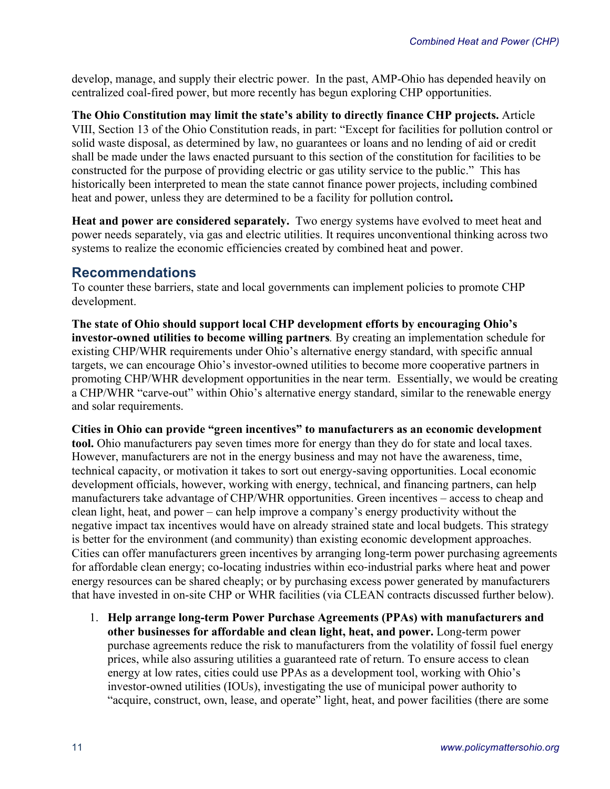develop, manage, and supply their electric power. In the past, AMP-Ohio has depended heavily on centralized coal-fired power, but more recently has begun exploring CHP opportunities.

**The Ohio Constitution may limit the state's ability to directly finance CHP projects.** Article VIII, Section 13 of the Ohio Constitution reads, in part: "Except for facilities for pollution control or solid waste disposal, as determined by law, no guarantees or loans and no lending of aid or credit shall be made under the laws enacted pursuant to this section of the constitution for facilities to be constructed for the purpose of providing electric or gas utility service to the public." This has historically been interpreted to mean the state cannot finance power projects, including combined heat and power, unless they are determined to be a facility for pollution control**.**

**Heat and power are considered separately.**Two energy systems have evolved to meet heat and power needs separately, via gas and electric utilities. It requires unconventional thinking across two systems to realize the economic efficiencies created by combined heat and power.

# **Recommendations**

To counter these barriers, state and local governments can implement policies to promote CHP development.

**The state of Ohio should support local CHP development efforts by encouraging Ohio's investor-owned utilities to become willing partners***.* By creating an implementation schedule for existing CHP/WHR requirements under Ohio's alternative energy standard, with specific annual targets, we can encourage Ohio's investor-owned utilities to become more cooperative partners in promoting CHP/WHR development opportunities in the near term. Essentially, we would be creating a CHP/WHR "carve-out" within Ohio's alternative energy standard, similar to the renewable energy and solar requirements.

**Cities in Ohio can provide "green incentives" to manufacturers as an economic development tool.** Ohio manufacturers pay seven times more for energy than they do for state and local taxes. However, manufacturers are not in the energy business and may not have the awareness, time, technical capacity, or motivation it takes to sort out energy-saving opportunities. Local economic development officials, however, working with energy, technical, and financing partners, can help manufacturers take advantage of CHP/WHR opportunities. Green incentives – access to cheap and clean light, heat, and power – can help improve a company's energy productivity without the negative impact tax incentives would have on already strained state and local budgets. This strategy is better for the environment (and community) than existing economic development approaches. Cities can offer manufacturers green incentives by arranging long-term power purchasing agreements for affordable clean energy; co-locating industries within eco-industrial parks where heat and power energy resources can be shared cheaply; or by purchasing excess power generated by manufacturers that have invested in on-site CHP or WHR facilities (via CLEAN contracts discussed further below).

1. **Help arrange long-term Power Purchase Agreements (PPAs) with manufacturers and other businesses for affordable and clean light, heat, and power.** Long-term power purchase agreements reduce the risk to manufacturers from the volatility of fossil fuel energy prices, while also assuring utilities a guaranteed rate of return. To ensure access to clean energy at low rates, cities could use PPAs as a development tool, working with Ohio's investor-owned utilities (IOUs), investigating the use of municipal power authority to "acquire, construct, own, lease, and operate" light, heat, and power facilities (there are some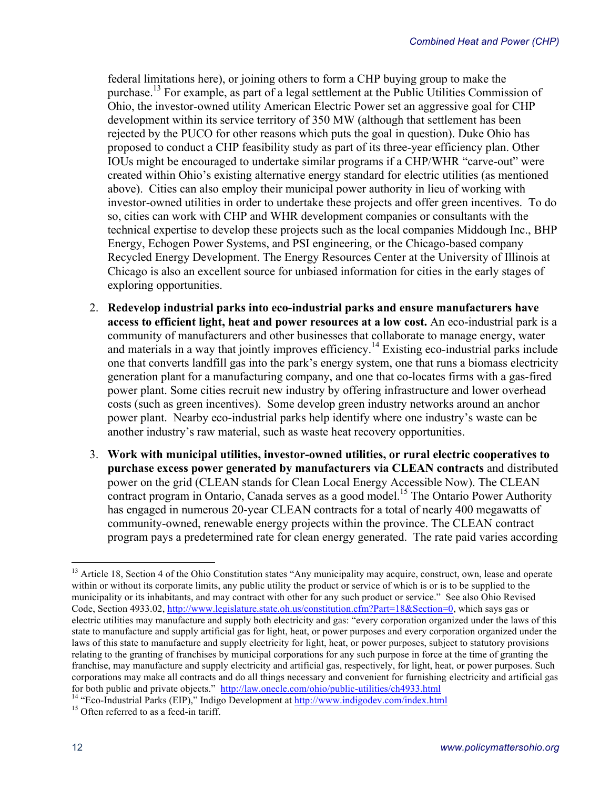federal limitations here), or joining others to form a CHP buying group to make the purchase.<sup>13</sup> For example, as part of a legal settlement at the Public Utilities Commission of Ohio, the investor-owned utility American Electric Power set an aggressive goal for CHP development within its service territory of 350 MW (although that settlement has been rejected by the PUCO for other reasons which puts the goal in question). Duke Ohio has proposed to conduct a CHP feasibility study as part of its three-year efficiency plan. Other IOUs might be encouraged to undertake similar programs if a CHP/WHR "carve-out" were created within Ohio's existing alternative energy standard for electric utilities (as mentioned above). Cities can also employ their municipal power authority in lieu of working with investor-owned utilities in order to undertake these projects and offer green incentives. To do so, cities can work with CHP and WHR development companies or consultants with the technical expertise to develop these projects such as the local companies Middough Inc., BHP Energy, Echogen Power Systems, and PSI engineering, or the Chicago-based company Recycled Energy Development. The Energy Resources Center at the University of Illinois at Chicago is also an excellent source for unbiased information for cities in the early stages of exploring opportunities.

- 2. **Redevelop industrial parks into eco-industrial parks and ensure manufacturers have access to efficient light, heat and power resources at a low cost.** An eco-industrial park is a community of manufacturers and other businesses that collaborate to manage energy, water and materials in a way that jointly improves efficiency.<sup>14</sup> Existing eco-industrial parks include one that converts landfill gas into the park's energy system, one that runs a biomass electricity generation plant for a manufacturing company, and one that co-locates firms with a gas-fired power plant. Some cities recruit new industry by offering infrastructure and lower overhead costs (such as green incentives). Some develop green industry networks around an anchor power plant. Nearby eco-industrial parks help identify where one industry's waste can be another industry's raw material, such as waste heat recovery opportunities.
- 3. **Work with municipal utilities, investor-owned utilities, or rural electric cooperatives to purchase excess power generated by manufacturers via CLEAN contracts** and distributed power on the grid (CLEAN stands for Clean Local Energy Accessible Now). The CLEAN contract program in Ontario, Canada serves as a good model.<sup>15</sup> The Ontario Power Authority has engaged in numerous 20-year CLEAN contracts for a total of nearly 400 megawatts of community-owned, renewable energy projects within the province. The CLEAN contract program pays a predetermined rate for clean energy generated. The rate paid varies according

<sup>&</sup>lt;sup>13</sup> Article 18, Section 4 of the Ohio Constitution states "Any municipality may acquire, construct, own, lease and operate within or without its corporate limits, any public utility the product or service of which is or is to be supplied to the municipality or its inhabitants, and may contract with other for any such product or service." See also Ohio Revised Code, Section 4933.02, http://www.legislature.state.oh.us/constitution.cfm?Part=18&Section=0, which says gas or electric utilities may manufacture and supply both electricity and gas: "every corporation organized under the laws of this state to manufacture and supply artificial gas for light, heat, or power purposes and every corporation organized under the laws of this state to manufacture and supply electricity for light, heat, or power purposes, subject to statutory provisions relating to the granting of franchises by municipal corporations for any such purpose in force at the time of granting the franchise, may manufacture and supply electricity and artificial gas, respectively, for light, heat, or power purposes. Such corporations may make all contracts and do all things necessary and convenient for furnishing electricity and artificial gas for both public and private objects." http://law.onecle.com/ohio/public-utilities/ch4933.html

<sup>&</sup>lt;sup>14</sup> "Eco-Industrial Parks (EIP)," Indigo Development at  $\frac{http://www.indigodev.com/index.html}{http://www.indigodev.com/index.html}$ <br><sup>15</sup> Often referred to as a feed-in tariff.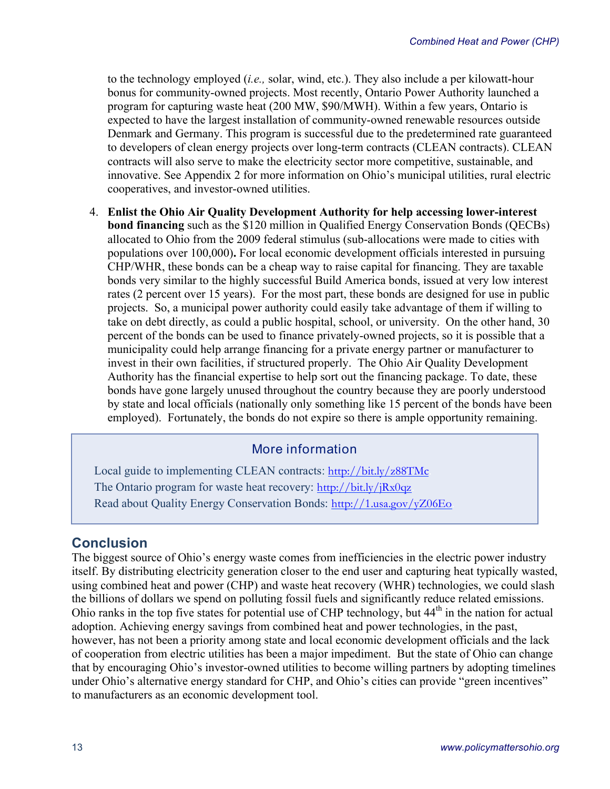to the technology employed (*i.e.,* solar, wind, etc.). They also include a per kilowatt-hour bonus for community-owned projects. Most recently, Ontario Power Authority launched a program for capturing waste heat (200 MW, \$90/MWH). Within a few years, Ontario is expected to have the largest installation of community-owned renewable resources outside Denmark and Germany. This program is successful due to the predetermined rate guaranteed to developers of clean energy projects over long-term contracts (CLEAN contracts). CLEAN contracts will also serve to make the electricity sector more competitive, sustainable, and innovative. See Appendix 2 for more information on Ohio's municipal utilities, rural electric cooperatives, and investor-owned utilities.

4. **Enlist the Ohio Air Quality Development Authority for help accessing lower-interest bond financing** such as the \$120 million in Qualified Energy Conservation Bonds (QECBs) allocated to Ohio from the 2009 federal stimulus (sub-allocations were made to cities with populations over 100,000)**.** For local economic development officials interested in pursuing CHP/WHR, these bonds can be a cheap way to raise capital for financing. They are taxable bonds very similar to the highly successful Build America bonds, issued at very low interest rates (2 percent over 15 years). For the most part, these bonds are designed for use in public projects. So, a municipal power authority could easily take advantage of them if willing to take on debt directly, as could a public hospital, school, or university. On the other hand, 30 percent of the bonds can be used to finance privately-owned projects, so it is possible that a municipality could help arrange financing for a private energy partner or manufacturer to invest in their own facilities, if structured properly. The Ohio Air Quality Development Authority has the financial expertise to help sort out the financing package. To date, these bonds have gone largely unused throughout the country because they are poorly understood by state and local officials (nationally only something like 15 percent of the bonds have been employed). Fortunately, the bonds do not expire so there is ample opportunity remaining.

# More information

 Local guide to implementing CLEAN contracts: http://bit.ly/z88TMc. The Ontario program for waste heat recovery: http://bit.ly/jRx0qz. Read about Quality Energy Conservation Bonds: http://1.usa.gov/yZ06Eo.

# **Conclusion**

The biggest source of Ohio's energy waste comes from inefficiencies in the electric power industry itself. By distributing electricity generation closer to the end user and capturing heat typically wasted, using combined heat and power (CHP) and waste heat recovery (WHR) technologies, we could slash the billions of dollars we spend on polluting fossil fuels and significantly reduce related emissions. Ohio ranks in the top five states for potential use of CHP technology, but 44<sup>th</sup> in the nation for actual adoption. Achieving energy savings from combined heat and power technologies, in the past, however, has not been a priority among state and local economic development officials and the lack of cooperation from electric utilities has been a major impediment. But the state of Ohio can change that by encouraging Ohio's investor-owned utilities to become willing partners by adopting timelines under Ohio's alternative energy standard for CHP, and Ohio's cities can provide "green incentives" to manufacturers as an economic development tool.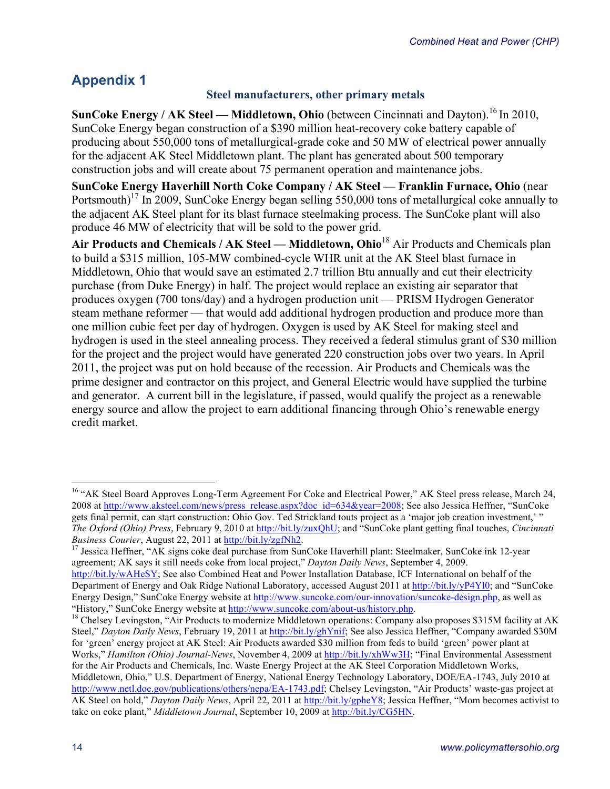# **Appendix 1**

### **Steel manufacturers, other primary metals**

**SunCoke Energy / AK Steel — Middletown, Ohio** (between Cincinnati and Dayton).<sup>16</sup> In 2010, SunCoke Energy began construction of a \$390 million heat-recovery coke battery capable of producing about 550,000 tons of metallurgical-grade coke and 50 MW of electrical power annually for the adjacent AK Steel Middletown plant. The plant has generated about 500 temporary construction jobs and will create about 75 permanent operation and maintenance jobs.

**SunCoke Energy Haverhill North Coke Company / AK Steel — Franklin Furnace, Ohio** (near Portsmouth)<sup>17</sup> In 2009, SunCoke Energy began selling 550,000 tons of metallurgical coke annually to the adjacent AK Steel plant for its blast furnace steelmaking process. The SunCoke plant will also produce 46 MW of electricity that will be sold to the power grid.

**Air Products and Chemicals / AK Steel — Middletown, Ohio**<sup>18</sup> Air Products and Chemicals plan to build a \$315 million, 105-MW combined-cycle WHR unit at the AK Steel blast furnace in Middletown, Ohio that would save an estimated 2.7 trillion Btu annually and cut their electricity purchase (from Duke Energy) in half. The project would replace an existing air separator that produces oxygen (700 tons/day) and a hydrogen production unit — PRISM Hydrogen Generator steam methane reformer — that would add additional hydrogen production and produce more than one million cubic feet per day of hydrogen. Oxygen is used by AK Steel for making steel and hydrogen is used in the steel annealing process. They received a federal stimulus grant of \$30 million for the project and the project would have generated 220 construction jobs over two years. In April 2011, the project was put on hold because of the recession. Air Products and Chemicals was the prime designer and contractor on this project, and General Electric would have supplied the turbine and generator. A current bill in the legislature, if passed, would qualify the project as a renewable energy source and allow the project to earn additional financing through Ohio's renewable energy credit market.

<sup>&</sup>lt;sup>16</sup> "AK Steel Board Approves Long-Term Agreement For Coke and Electrical Power," AK Steel press release, March 24, 2008 at http://www.aksteel.com/news/press\_release.aspx?doc\_id=634&year=2008; See also Jessica Heffner, "SunCoke gets final permit, can start construction: Ohio Gov. Ted Strickland touts project as a 'major job creation investment,' " *The Oxford (Ohio) Press*, February 9, 2010 at http://bit.ly/zuxQhU; and "SunCoke plant getting final touches, *Cincinnati Business Courier*, August 22, 2011 at http://bit.ly/zgfNh2.<br><sup>17</sup> Jessica Heffner, "AK signs coke deal purchase from SunCoke Haverhill plant: Steelmaker, SunCoke ink 12-year

agreement; AK says it still needs coke from local project," *Dayton Daily News*, September 4, 2009.

http://bit.ly/wAHeSY; See also Combined Heat and Power Installation Database, ICF International on behalf of the Department of Energy and Oak Ridge National Laboratory, accessed August 2011 at http://bit.ly/yP4Yl0; and "SunCoke Energy Design," SunCoke Energy website at http://www.suncoke.com/our-innovation/suncoke-design.php, as well as "History," SunCoke Energy website at http://www.suncoke.com/about-us/history.php.

<sup>&</sup>lt;sup>18</sup> Chelsey Levingston, "Air Products to modernize Middletown operations: Company also proposes \$315M facility at AK Steel," *Dayton Daily News*, February 19, 2011 at http://bit.ly/ghYnif; See also Jessica Heffner, "Company awarded \$30M for 'green' energy project at AK Steel: Air Products awarded \$30 million from feds to build 'green' power plant at Works," *Hamilton (Ohio) Journal-News*, November 4, 2009 at http://bit.ly/xhWw3H; "Final Environmental Assessment for the Air Products and Chemicals, Inc. Waste Energy Project at the AK Steel Corporation Middletown Works, Middletown, Ohio," U.S. Department of Energy, National Energy Technology Laboratory, DOE/EA-1743, July 2010 at http://www.netl.doe.gov/publications/others/nepa/EA-1743.pdf; Chelsey Levingston, "Air Products' waste-gas project at AK Steel on hold," *Dayton Daily News*, April 22, 2011 at http://bit.ly/gpheY8; Jessica Heffner, "Mom becomes activist to take on coke plant," *Middletown Journal*, September 10, 2009 at http://bit.ly/CG5HN.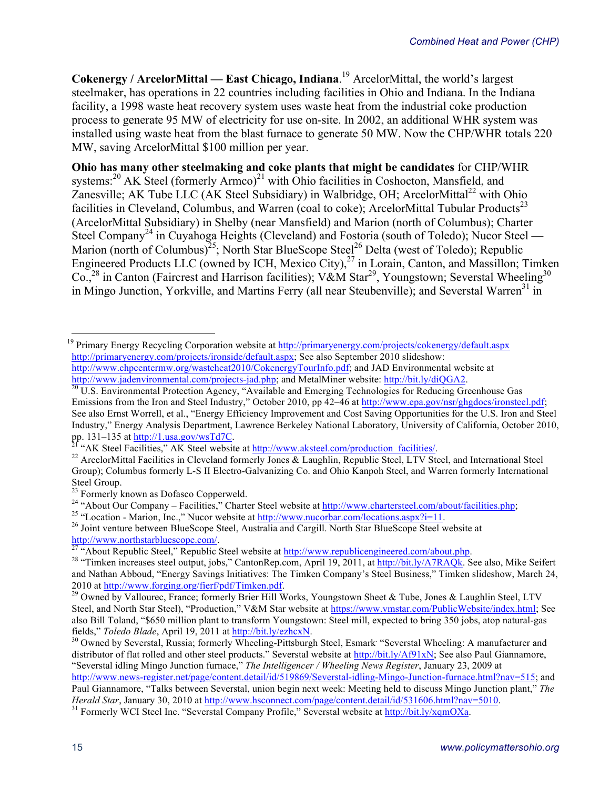**Cokenergy / ArcelorMittal — East Chicago, Indiana**. <sup>19</sup> ArcelorMittal, the world's largest steelmaker, has operations in 22 countries including facilities in Ohio and Indiana. In the Indiana facility, a 1998 waste heat recovery system uses waste heat from the industrial coke production process to generate 95 MW of electricity for use on-site. In 2002, an additional WHR system was installed using waste heat from the blast furnace to generate 50 MW. Now the CHP/WHR totals 220 MW, saving ArcelorMittal \$100 million per year.

**Ohio has many other steelmaking and coke plants that might be candidates** for CHP/WHR systems:<sup>20</sup> AK Steel (formerly Armco)<sup>21</sup> with Ohio facilities in Coshocton, Mansfield, and Zanesville; AK Tube LLC (AK Steel Subsidiary) in Walbridge, OH; ArcelorMittal<sup>22</sup> with Ohio facilities in Cleveland, Columbus, and Warren (coal to coke); ArcelorMittal Tubular Products<sup>23</sup> (ArcelorMittal Subsidiary) in Shelby (near Mansfield) and Marion (north of Columbus); Charter Steel Company<sup>24</sup> in Cuyahoga Heights (Cleveland) and Fostoria (south of Toledo); Nucor Steel — Marion (north of Columbus)<sup>25</sup>; North Star BlueScope Steel<sup>26</sup> Delta (west of Toledo); Republic Engineered Products LLC (owned by ICH, Mexico City),<sup>27</sup> in Lorain, Canton, and Massillon; Timken Co.,<sup>28</sup> in Canton (Faircrest and Harrison facilities); V&M Star<sup>29</sup>, Youngstown; Severstal Wheeling<sup>30</sup> in Mingo Junction, Yorkville, and Martins Ferry (all near Steubenville); and Severstal Warren<sup>31</sup> in

<sup>&</sup>lt;sup>19</sup> Primary Energy Recycling Corporation website at http://primaryenergy.com/projects/cokenergy/default.aspx http://primaryenergy.com/projects/ironside/default.aspx; See also September 2010 slideshow: http://www.chpcentermw.org/wasteheat2010/CokenergyTourInfo.pdf; and JAD Environmental website at http://www.jadenvironmental.com/projects-jad.php; and MetalMiner website: http://bit.ly/diQGA2.

 $\frac{1}{20}$  U.S. Environmental Protection Agency, "Available and Emerging Technologies for Reducing Greenhouse Gas Emissions from the Iron and Steel Industry," October 2010, pp 42–46 at http://www.epa.gov/nsr/ghgdocs/ironsteel.pdf; See also Ernst Worrell, et al., "Energy Efficiency Improvement and Cost Saving Opportunities for the U.S. Iron and Steel Industry," Energy Analysis Department, Lawrence Berkeley National Laboratory, University of California, October 2010,

pp. 131–135 at http://1.usa.gov/wsTd7C.<br><sup>21</sup> "AK Steel Facilities," AK Steel website at http://www.aksteel.com/production\_facilities/.<br><sup>21</sup> "AC Steel Facilities in Cleveland formerly Jones & Laughlin, Republic Steel, LTV S Group); Columbus formerly L-S II Electro-Galvanizing Co. and Ohio Kanpoh Steel, and Warren formerly International Steel Group.<br><sup>23</sup> Formerly known as Dofasco Copperweld.

<sup>&</sup>lt;sup>24</sup> "About Our Company – Facilities," Charter Steel website at http://www.chartersteel.com/about/facilities.php;<br><sup>25</sup> "Location - Marion, Inc.," Nucor website at http://www.nucorbar.com/locations.aspx?i=11.<br><sup>26</sup> Joint ve

http://www.northstarbluescope.com/.<br><sup>27</sup> "About Republic Steel," Republic Steel website at <u>http://www.republicengineered.com/about.php</u>.<br><sup>28</sup> "Timken increases steel output, jobs," CantonRep.com, April 19, 2011, at http:/ and Nathan Abboud, "Energy Savings Initiatives: The Timken Company's Steel Business," Timken slideshow, March 24, 2010 at http://www.forging.org/fierf/pdf/Timken.pdf.<br><sup>29</sup> Owned by Vallourec, France; formerly Brier Hill Works, Youngstown Sheet & Tube, Jones & Laughlin Steel, LTV

Steel, and North Star Steel), "Production," V&M Star website at https://www.vmstar.com/PublicWebsite/index.html; See also Bill Toland, "\$650 million plant to transform Youngstown: Steel mill, expected to bring 350 jobs, atop natural-gas

fields," *Toledo Blade*, April 19, 2011 at <u>http://bit.ly/ezhcxN</u>.<br><sup>30</sup> Owned by Severstal, Russia; formerly Wheeling-Pittsburgh Steel, Esmark<sup>.</sup> "Severstal Wheeling: A manufacturer and distributor of flat rolled and other steel products." Severstal website at http://bit.ly/Af91xN; See also Paul Giannamore, "Severstal idling Mingo Junction furnace," *The Intelligencer / Wheeling News Register*, January 23, 2009 at

http://www.news-register.net/page/content.detail/id/519869/Severstal-idling-Mingo-Junction-furnace.html?nav=515; and Paul Giannamore, "Talks between Severstal, union begin next week: Meeting held to discuss Mingo Junction plant," *The Herald Star*, January 30, 2010 at <u>http://www.hsconnect.com/page/content.detail/id/531606.html?nav=5010</u>.<br><sup>31</sup> Formerly WCI Steel Inc. "Severstal Company Profile," Severstal website at http://bit.ly/xqmOXa.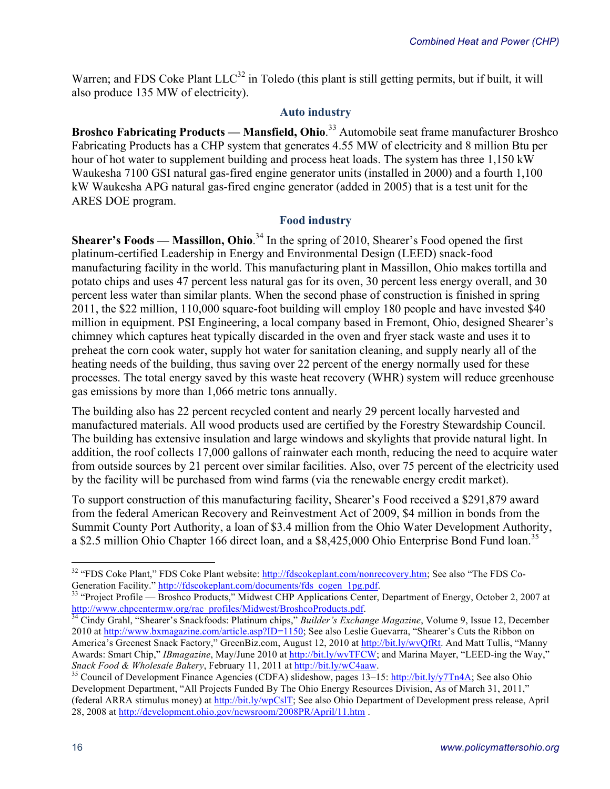Warren; and FDS Coke Plant LLC<sup>32</sup> in Toledo (this plant is still getting permits, but if built, it will also produce 135 MW of electricity).

#### **Auto industry**

**Broshco Fabricating Products — Mansfield, Ohio**. <sup>33</sup> Automobile seat frame manufacturer Broshco Fabricating Products has a CHP system that generates 4.55 MW of electricity and 8 million Btu per hour of hot water to supplement building and process heat loads. The system has three 1,150 kW Waukesha 7100 GSI natural gas-fired engine generator units (installed in 2000) and a fourth 1,100 kW Waukesha APG natural gas-fired engine generator (added in 2005) that is a test unit for the ARES DOE program.

#### **Food industry**

**Shearer's Foods — Massillon, Ohio**. <sup>34</sup> In the spring of 2010, Shearer's Food opened the first platinum-certified Leadership in Energy and Environmental Design (LEED) snack-food manufacturing facility in the world. This manufacturing plant in Massillon, Ohio makes tortilla and potato chips and uses 47 percent less natural gas for its oven, 30 percent less energy overall, and 30 percent less water than similar plants. When the second phase of construction is finished in spring 2011, the \$22 million, 110,000 square-foot building will employ 180 people and have invested \$40 million in equipment. PSI Engineering, a local company based in Fremont, Ohio, designed Shearer's chimney which captures heat typically discarded in the oven and fryer stack waste and uses it to preheat the corn cook water, supply hot water for sanitation cleaning, and supply nearly all of the heating needs of the building, thus saving over 22 percent of the energy normally used for these processes. The total energy saved by this waste heat recovery (WHR) system will reduce greenhouse gas emissions by more than 1,066 metric tons annually.

The building also has 22 percent recycled content and nearly 29 percent locally harvested and manufactured materials. All wood products used are certified by the Forestry Stewardship Council. The building has extensive insulation and large windows and skylights that provide natural light. In addition, the roof collects 17,000 gallons of rainwater each month, reducing the need to acquire water from outside sources by 21 percent over similar facilities. Also, over 75 percent of the electricity used by the facility will be purchased from wind farms (via the renewable energy credit market).

To support construction of this manufacturing facility, Shearer's Food received a \$291,879 award from the federal American Recovery and Reinvestment Act of 2009, \$4 million in bonds from the Summit County Port Authority, a loan of \$3.4 million from the Ohio Water Development Authority, a \$2.5 million Ohio Chapter 166 direct loan, and a \$8,425,000 Ohio Enterprise Bond Fund loan.<sup>35</sup>

<sup>&</sup>lt;sup>32</sup> "FDS Coke Plant," FDS Coke Plant website: http://fdscokeplant.com/nonrecovery.htm; See also "The FDS Co-

Generation Facility." http://fdscokeplant.com/documents/fds\_cogen\_1pg.pdf.<br><sup>33</sup> "Project Profile — Broshco Products," Midwest CHP Applications Center, Department of Energy, October 2, 2007 at<br>http://www.chpcentermw.org/rac

<sup>&</sup>lt;sup>34</sup> Cindy Grahl, "Shearer's Snackfoods: Platinum chips," *Builder's Exchange Magazine*, Volume 9, Issue 12, December 2010 at http://www.bxmagazine.com/article.asp?ID=1150; See also Leslie Guevarra, "Shearer's Cuts the Ribbon on America's Greenest Snack Factory," GreenBiz.com, August 12, 2010 at http://bit.ly/wvQfRt. And Matt Tullis, "Manny Awards: Smart Chip," *IBmagazine*, May/June 2010 at http://bit.ly/wvTFCW; and Marina Mayer, "LEED-ing the Way," *Snack Food & Wholesale Bakery*, February 11, 2011 at http://bit.ly/wC4aaw. 35 Council of Development Finance Agencies (CDFA) slideshow, pages 13–15: http://bit.ly/y7Tn4A; See also Ohio

Development Department, "All Projects Funded By The Ohio Energy Resources Division, As of March 31, 2011," (federal ARRA stimulus money) at http://bit.ly/wpCslT; See also Ohio Department of Development press release, April 28, 2008 at http://development.ohio.gov/newsroom/2008PR/April/11.htm .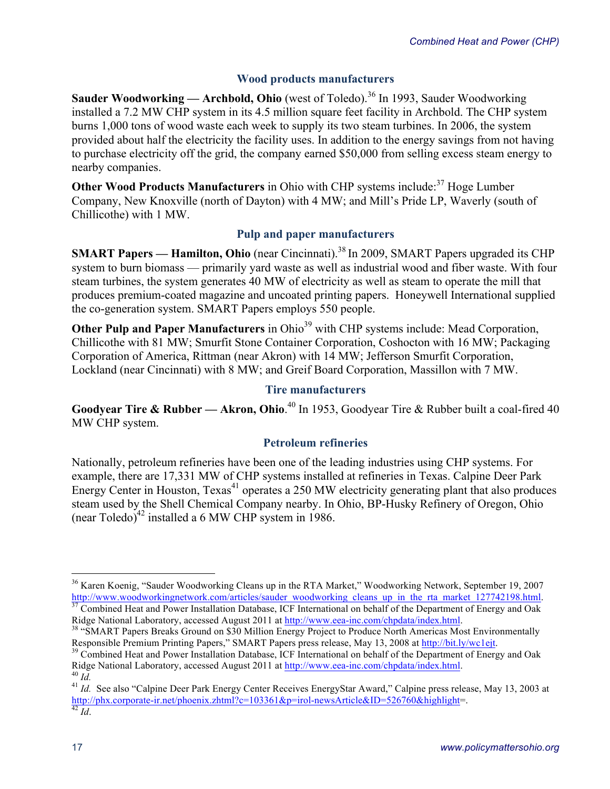### **Wood products manufacturers**

**Sauder Woodworking — Archbold, Ohio** (west of Toledo).<sup>36</sup> In 1993, Sauder Woodworking installed a 7.2 MW CHP system in its 4.5 million square feet facility in Archbold. The CHP system burns 1,000 tons of wood waste each week to supply its two steam turbines. In 2006, the system provided about half the electricity the facility uses. In addition to the energy savings from not having to purchase electricity off the grid, the company earned \$50,000 from selling excess steam energy to nearby companies.

**Other Wood Products Manufacturers** in Ohio with CHP systems include:<sup>37</sup> Hoge Lumber Company, New Knoxville (north of Dayton) with 4 MW; and Mill's Pride LP, Waverly (south of Chillicothe) with 1 MW.

### **Pulp and paper manufacturers**

**SMART Papers — Hamilton, Ohio** (near Cincinnati).<sup>38</sup> In 2009, SMART Papers upgraded its CHP system to burn biomass — primarily yard waste as well as industrial wood and fiber waste. With four steam turbines, the system generates 40 MW of electricity as well as steam to operate the mill that produces premium-coated magazine and uncoated printing papers. Honeywell International supplied the co-generation system. SMART Papers employs 550 people.

**Other Pulp and Paper Manufacturers** in Ohio<sup>39</sup> with CHP systems include: Mead Corporation, Chillicothe with 81 MW; Smurfit Stone Container Corporation, Coshocton with 16 MW; Packaging Corporation of America, Rittman (near Akron) with 14 MW; Jefferson Smurfit Corporation, Lockland (near Cincinnati) with 8 MW; and Greif Board Corporation, Massillon with 7 MW.

#### **Tire manufacturers**

Goodyear Tire & Rubber — Akron, Ohio.<sup>40</sup> In 1953, Goodyear Tire & Rubber built a coal-fired 40 MW CHP system.

#### **Petroleum refineries**

Nationally, petroleum refineries have been one of the leading industries using CHP systems. For example, there are 17,331 MW of CHP systems installed at refineries in Texas. Calpine Deer Park Energy Center in Houston, Texas<sup>41</sup> operates a 250 MW electricity generating plant that also produces steam used by the Shell Chemical Company nearby. In Ohio, BP-Husky Refinery of Oregon, Ohio (near Toledo)<sup>42</sup> installed a 6 MW CHP system in 1986.

<sup>&</sup>lt;sup>36</sup> Karen Koenig, "Sauder Woodworking Cleans up in the RTA Market," Woodworking Network, September 19, 2007 http://www.woodworkingnetwork.com/articles/sauder\_woodworking\_cleans\_up\_in\_the\_rta\_market\_127742198.html.<br><sup>37</sup> Combined Heat and Power Installation Database, ICF International on behalf of the Department of Energy and Oak<br>

<sup>&</sup>lt;sup>38</sup> "SMART Papers Breaks Ground on \$30 Million Energy Project to Produce North Americas Most Environmentally Responsible Premium Printing Papers," SMART Papers press release, May 13, 2008 at http://bit.ly/wc1ejt.

 $\frac{39}{2}$  Combined Heat and Power Installation Database, ICF International on behalf of the Department of Energy and Oak

Ridge National Laboratory, accessed August 2011 at http://www.eea-inc.com/chpdata/index.html.<br><sup>40</sup> Id.<br><sup>41</sup> Id. See also "Calpine Deer Park Energy Center Receives EnergyStar Award," Calpine press release, May 13, 2003 at

http://phx.corporate-ir.net/phoenix.zhtml?c=103361&p=irol-newsArticle&ID=526760&highlight=. 42 *Id*.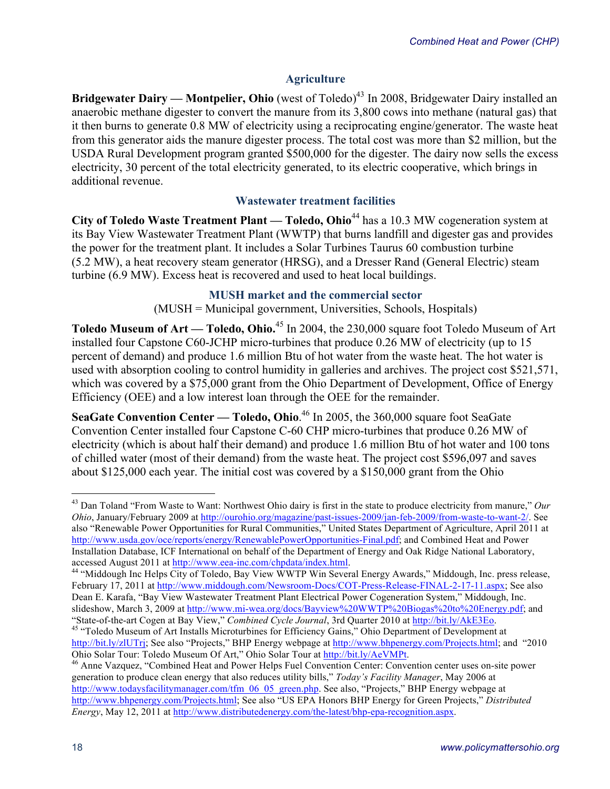## **Agriculture**

**Bridgewater Dairy — Montpelier, Ohio** (west of Toledo)<sup>43</sup> In 2008, Bridgewater Dairy installed an anaerobic methane digester to convert the manure from its 3,800 cows into methane (natural gas) that it then burns to generate 0.8 MW of electricity using a reciprocating engine/generator. The waste heat from this generator aids the manure digester process. The total cost was more than \$2 million, but the USDA Rural Development program granted \$500,000 for the digester. The dairy now sells the excess electricity, 30 percent of the total electricity generated, to its electric cooperative, which brings in additional revenue.

### **Wastewater treatment facilities**

**City of Toledo Waste Treatment Plant — Toledo, Ohio**<sup>44</sup> has a 10.3 MW cogeneration system at its Bay View Wastewater Treatment Plant (WWTP) that burns landfill and digester gas and provides the power for the treatment plant. It includes a Solar Turbines Taurus 60 combustion turbine (5.2 MW), a heat recovery steam generator (HRSG), and a Dresser Rand (General Electric) steam turbine (6.9 MW). Excess heat is recovered and used to heat local buildings.

### **MUSH market and the commercial sector**

(MUSH = Municipal government, Universities, Schools, Hospitals)

**Toledo Museum of Art — Toledo, Ohio.**<sup>45</sup> In 2004, the 230,000 square foot Toledo Museum of Art installed four Capstone C60-JCHP micro-turbines that produce 0.26 MW of electricity (up to 15 percent of demand) and produce 1.6 million Btu of hot water from the waste heat. The hot water is used with absorption cooling to control humidity in galleries and archives. The project cost \$521,571, which was covered by a \$75,000 grant from the Ohio Department of Development, Office of Energy Efficiency (OEE) and a low interest loan through the OEE for the remainder.

**SeaGate Convention Center — Toledo, Ohio**. <sup>46</sup> In 2005, the 360,000 square foot SeaGate Convention Center installed four Capstone C-60 CHP micro-turbines that produce 0.26 MW of electricity (which is about half their demand) and produce 1.6 million Btu of hot water and 100 tons of chilled water (most of their demand) from the waste heat. The project cost \$596,097 and saves about \$125,000 each year. The initial cost was covered by a \$150,000 grant from the Ohio

accessed August 2011 at http://www.eea-inc.com/chpdata/index.html.<br><sup>44</sup> "Middough Inc Helps City of Toledo, Bay View WWTP Win Several Energy Awards," Middough, Inc. press release, February 17, 2011 at http://www.middough.com/Newsroom-Docs/COT-Press-Release-FINAL-2-17-11.aspx; See also Dean E. Karafa, "Bay View Wastewater Treatment Plant Electrical Power Cogeneration System," Middough, Inc.

slideshow, March 3, 2009 at http://www.mi-wea.org/docs/Bayview%20WWTP%20Biogas%20to%20Energy.pdf; and "State-of-the-art Cogen at Bay View," Combined Cycle Journal, 3rd Quarter 2010 at http://bit.ly/AkE3Eo. <sup>45</sup> "Toledo Museum of Art Installs Microturbines for Efficiency Gains," Ohio Department of Development at http://bit.ly/zlUTrj; See also "Projects," BHP Energy webpage at http://www.bhpenergy.com/Projects.html; and "2010<br>Ohio Solar Tour: Toledo Museum Of Art," Ohio Solar Tour at http://bit.ly/AeVMPt.

<sup>43</sup> Dan Toland "From Waste to Want: Northwest Ohio dairy is first in the state to produce electricity from manure," *Our Ohio*, January/February 2009 at http://ourohio.org/magazine/past-issues-2009/jan-feb-2009/from-waste-to-want-2/. See also "Renewable Power Opportunities for Rural Communities," United States Department of Agriculture, April 2011 at http://www.usda.gov/oce/reports/energy/RenewablePowerOpportunities-Final.pdf; and Combined Heat and Power Installation Database, ICF International on behalf of the Department of Energy and Oak Ridge National Laboratory,

<sup>&</sup>lt;sup>46</sup> Anne Vazquez, "Combined Heat and Power Helps Fuel Convention Center: Convention center uses on-site power generation to produce clean energy that also reduces utility bills," *Today's Facility Manager*, May 2006 at http://www.todaysfacilitymanager.com/tfm\_06\_05\_green.php. See also, "Projects," BHP Energy webpage at http://www.bhpenergy.com/Projects.html; See also "US EPA Honors BHP Energy for Green Projects," *Distributed Energy*, May 12, 2011 at http://www.distributedenergy.com/the-latest/bhp-epa-recognition.aspx.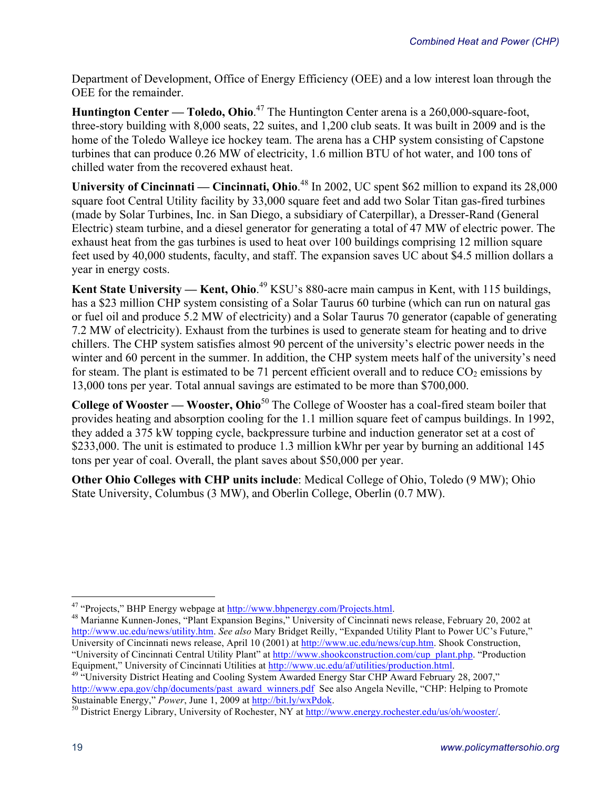Department of Development, Office of Energy Efficiency (OEE) and a low interest loan through the OEE for the remainder.

**Huntington Center — Toledo, Ohio**. <sup>47</sup> The Huntington Center arena is a 260,000-square-foot, three-story building with 8,000 seats, 22 suites, and 1,200 club seats. It was built in 2009 and is the home of the Toledo Walleye ice hockey team. The arena has a CHP system consisting of Capstone turbines that can produce 0.26 MW of electricity, 1.6 million BTU of hot water, and 100 tons of chilled water from the recovered exhaust heat.

**University of Cincinnati — Cincinnati, Ohio.**<sup>48</sup> In 2002, UC spent \$62 million to expand its 28,000 square foot Central Utility facility by 33,000 square feet and add two Solar Titan gas-fired turbines (made by Solar Turbines, Inc. in San Diego, a subsidiary of Caterpillar), a Dresser-Rand (General Electric) steam turbine, and a diesel generator for generating a total of 47 MW of electric power. The exhaust heat from the gas turbines is used to heat over 100 buildings comprising 12 million square feet used by 40,000 students, faculty, and staff. The expansion saves UC about \$4.5 million dollars a year in energy costs.

**Kent State University — Kent, Ohio.**<sup>49</sup> KSU's 880-acre main campus in Kent, with 115 buildings, has a \$23 million CHP system consisting of a Solar Taurus 60 turbine (which can run on natural gas or fuel oil and produce 5.2 MW of electricity) and a Solar Taurus 70 generator (capable of generating 7.2 MW of electricity). Exhaust from the turbines is used to generate steam for heating and to drive chillers. The CHP system satisfies almost 90 percent of the university's electric power needs in the winter and 60 percent in the summer. In addition, the CHP system meets half of the university's need for steam. The plant is estimated to be 71 percent efficient overall and to reduce  $CO<sub>2</sub>$  emissions by 13,000 tons per year. Total annual savings are estimated to be more than \$700,000.

**College of Wooster — Wooster, Ohio**<sup>50</sup> The College of Wooster has a coal-fired steam boiler that provides heating and absorption cooling for the 1.1 million square feet of campus buildings. In 1992, they added a 375 kW topping cycle, backpressure turbine and induction generator set at a cost of \$233,000. The unit is estimated to produce 1.3 million kWhr per year by burning an additional 145 tons per year of coal. Overall, the plant saves about \$50,000 per year.

**Other Ohio Colleges with CHP units include**: Medical College of Ohio, Toledo (9 MW); Ohio State University, Columbus (3 MW), and Oberlin College, Oberlin (0.7 MW).

Equipment," University of Cincinnati Utilities at http://www.uc.edu/af/utilities/production.html.<br><sup>49</sup> "University District Heating and Cooling System Awarded Energy Star CHP Award February 28, 2007," http://www.epa.gov/chp/documents/past\_award\_winners.pdf See also Angela Neville, "CHP: Helping to Promote Sustainable Energy," Power, June 1, 2009 at http://bit.ly/wxPdok.

<sup>&</sup>lt;sup>47</sup> "Projects," BHP Energy webpage at  $\frac{http://www.bhpenergy.com/Projects.html}{http://www.bhpenergy.com/Projects.html}$ .<br><sup>48</sup> Marianne Kunnen-Jones, "Plant Expansion Begins," University of Cincinnati news release, February 20, 2002 at http://www.uc.edu/news/utility.htm. *See also* Mary Bridget Reilly, "Expanded Utility Plant to Power UC's Future," University of Cincinnati news release, April 10 (2001) at http://www.uc.edu/news/cup.htm. Shook Construction, "University of Cincinnati Central Utility Plant" at http://www.shookconstruction.com/cup\_plant.php. "Production

<sup>&</sup>lt;sup>50</sup> District Energy Library, University of Rochester, NY at http://www.energy.rochester.edu/us/oh/wooster/.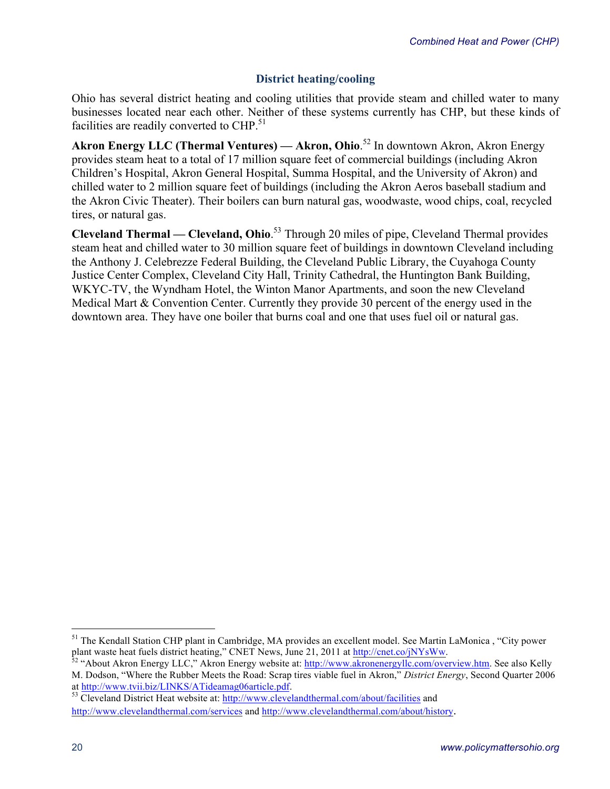### **District heating/cooling**

Ohio has several district heating and cooling utilities that provide steam and chilled water to many businesses located near each other. Neither of these systems currently has CHP, but these kinds of facilities are readily converted to CHP.<sup>51</sup>

**Akron Energy LLC (Thermal Ventures) — Akron, Ohio**. <sup>52</sup> In downtown Akron, Akron Energy provides steam heat to a total of 17 million square feet of commercial buildings (including Akron Children's Hospital, Akron General Hospital, Summa Hospital, and the University of Akron) and chilled water to 2 million square feet of buildings (including the Akron Aeros baseball stadium and the Akron Civic Theater). Their boilers can burn natural gas, woodwaste, wood chips, coal, recycled tires, or natural gas.

**Cleveland Thermal — Cleveland, Ohio**. <sup>53</sup> Through 20 miles of pipe, Cleveland Thermal provides steam heat and chilled water to 30 million square feet of buildings in downtown Cleveland including the Anthony J. Celebrezze Federal Building, the Cleveland Public Library, the Cuyahoga County Justice Center Complex, Cleveland City Hall, Trinity Cathedral, the Huntington Bank Building, WKYC-TV, the Wyndham Hotel, the Winton Manor Apartments, and soon the new Cleveland Medical Mart & Convention Center. Currently they provide 30 percent of the energy used in the downtown area. They have one boiler that burns coal and one that uses fuel oil or natural gas.

<sup>&</sup>lt;sup>51</sup> The Kendall Station CHP plant in Cambridge, MA provides an excellent model. See Martin LaMonica, "City power plant waste heat fuels district heating," CNET News, June 21, 2011 at http://cnet.co/jNYsWw.<br><sup>52</sup> "About Akron Energy LLC," Akron Energy website at: http://www.akronenergyllc.com/overview.htm. See also Kelly

M. Dodson, "Where the Rubber Meets the Road: Scrap tires viable fuel in Akron," *District Energy*, Second Quarter 2006 at http://www.tvii.biz/LINKS/ATideamag06article.pdf.<br><sup>53</sup> Cleveland District Heat website at: http://www.clevelandthermal.com/about/facilities and

http://www.clevelandthermal.com/services and http://www.clevelandthermal.com/about/history.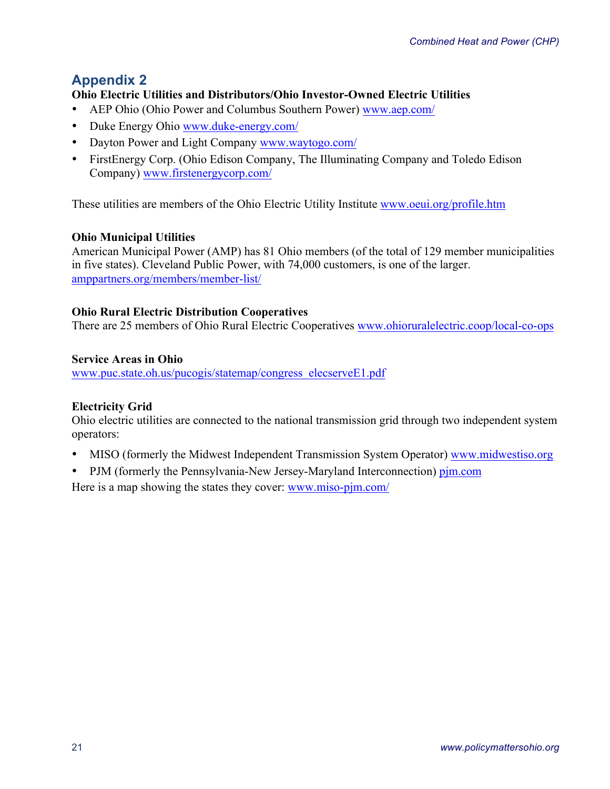# **Appendix 2**

### **Ohio Electric Utilities and Distributors/Ohio Investor-Owned Electric Utilities**

- AEP Ohio (Ohio Power and Columbus Southern Power) www.aep.com/
- Duke Energy Ohio www.duke-energy.com/
- Dayton Power and Light Company www.waytogo.com/
- FirstEnergy Corp. (Ohio Edison Company, The Illuminating Company and Toledo Edison Company) www.firstenergycorp.com/

These utilities are members of the Ohio Electric Utility Institute www.oeui.org/profile.htm

### **Ohio Municipal Utilities**

American Municipal Power (AMP) has 81 Ohio members (of the total of 129 member municipalities in five states). Cleveland Public Power, with 74,000 customers, is one of the larger. amppartners.org/members/member-list/

#### **Ohio Rural Electric Distribution Cooperatives**

There are 25 members of Ohio Rural Electric Cooperatives www.ohioruralelectric.coop/local-co-ops

#### **Service Areas in Ohio**

www.puc.state.oh.us/pucogis/statemap/congress\_elecserveE1.pdf

### **Electricity Grid**

Ohio electric utilities are connected to the national transmission grid through two independent system operators:

- MISO (formerly the Midwest Independent Transmission System Operator) www.midwestiso.org
- PJM (formerly the Pennsylvania-New Jersey-Maryland Interconnection) pjm.com

Here is a map showing the states they cover: www.miso-pjm.com/